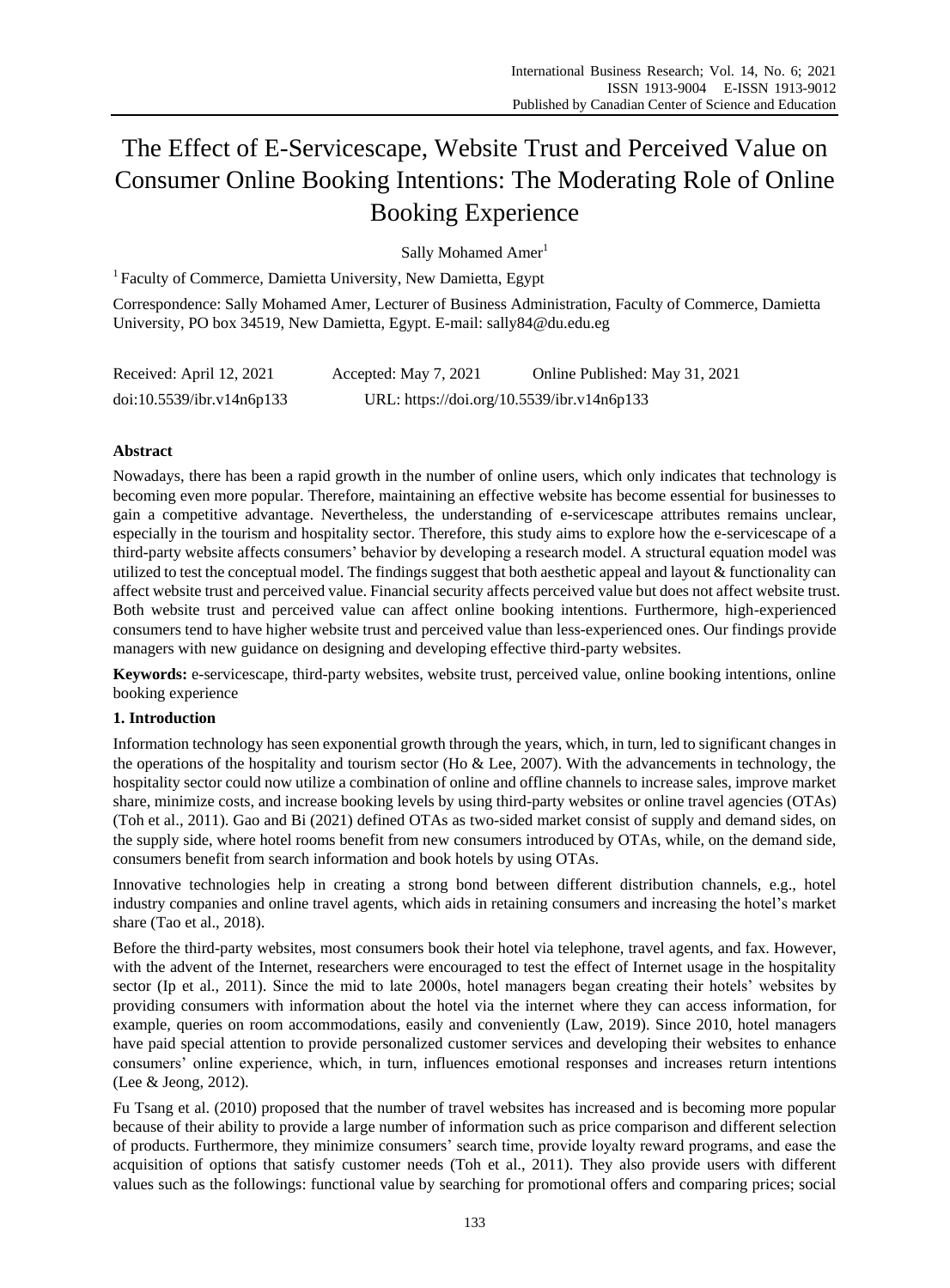# The Effect of E-Servicescape, Website Trust and Perceived Value on Consumer Online Booking Intentions: The Moderating Role of Online Booking Experience

Sally Mohamed Amer<sup>1</sup>

<sup>1</sup> Faculty of Commerce, Damietta University, New Damietta, Egypt

Correspondence: Sally Mohamed Amer, Lecturer of Business Administration, Faculty of Commerce, Damietta University, PO box 34519, New Damietta, Egypt. E-mail: sally84@du.edu.eg

| Received: April 12, 2021  | Accepted: May 7, 2021                      | Online Published: May 31, 2021 |
|---------------------------|--------------------------------------------|--------------------------------|
| doi:10.5539/ibr.v14n6p133 | URL: https://doi.org/10.5539/ibr.v14n6p133 |                                |

# **Abstract**

Nowadays, there has been a rapid growth in the number of online users, which only indicates that technology is becoming even more popular. Therefore, maintaining an effective website has become essential for businesses to gain a competitive advantage. Nevertheless, the understanding of e-servicescape attributes remains unclear, especially in the tourism and hospitality sector. Therefore, this study aims to explore how the e-servicescape of a third-party website affects consumers" behavior by developing a research model. A structural equation model was utilized to test the conceptual model. The findings suggest that both aesthetic appeal and layout & functionality can affect website trust and perceived value. Financial security affects perceived value but does not affect website trust. Both website trust and perceived value can affect online booking intentions. Furthermore, high-experienced consumers tend to have higher website trust and perceived value than less-experienced ones. Our findings provide managers with new guidance on designing and developing effective third-party websites.

**Keywords:** e-servicescape, third-party websites, website trust, perceived value, online booking intentions, online booking experience

## **1. Introduction**

Information technology has seen exponential growth through the years, which, in turn, led to significant changes in the operations of the hospitality and tourism sector (Ho & Lee, 2007). With the advancements in technology, the hospitality sector could now utilize a combination of online and offline channels to increase sales, improve market share, minimize costs, and increase booking levels by using third-party websites or online travel agencies (OTAs) (Toh et al., 2011). Gao and Bi (2021) defined OTAs as two-sided market consist of supply and demand sides, on the supply side, where hotel rooms benefit from new consumers introduced by OTAs, while, on the demand side, consumers benefit from search information and book hotels by using OTAs.

Innovative technologies help in creating a strong bond between different distribution channels, e.g., hotel industry companies and online travel agents, which aids in retaining consumers and increasing the hotel"s market share (Tao et al., 2018).

Before the third-party websites, most consumers book their hotel via telephone, travel agents, and fax. However, with the advent of the Internet, researchers were encouraged to test the effect of Internet usage in the hospitality sector (Ip et al., 2011). Since the mid to late 2000s, hotel managers began creating their hotels" websites by providing consumers with information about the hotel via the internet where they can access information, for example, queries on room accommodations, easily and conveniently (Law, 2019). Since 2010, hotel managers have paid special attention to provide personalized customer services and developing their websites to enhance consumers" online experience, which, in turn, influences emotional responses and increases return intentions (Lee & Jeong, 2012).

Fu Tsang et al. (2010) proposed that the number of travel websites has increased and is becoming more popular because of their ability to provide a large number of information such as price comparison and different selection of products. Furthermore, they minimize consumers" search time, provide loyalty reward programs, and ease the acquisition of options that satisfy customer needs (Toh et al., 2011). They also provide users with different values such as the followings: functional value by searching for promotional offers and comparing prices; social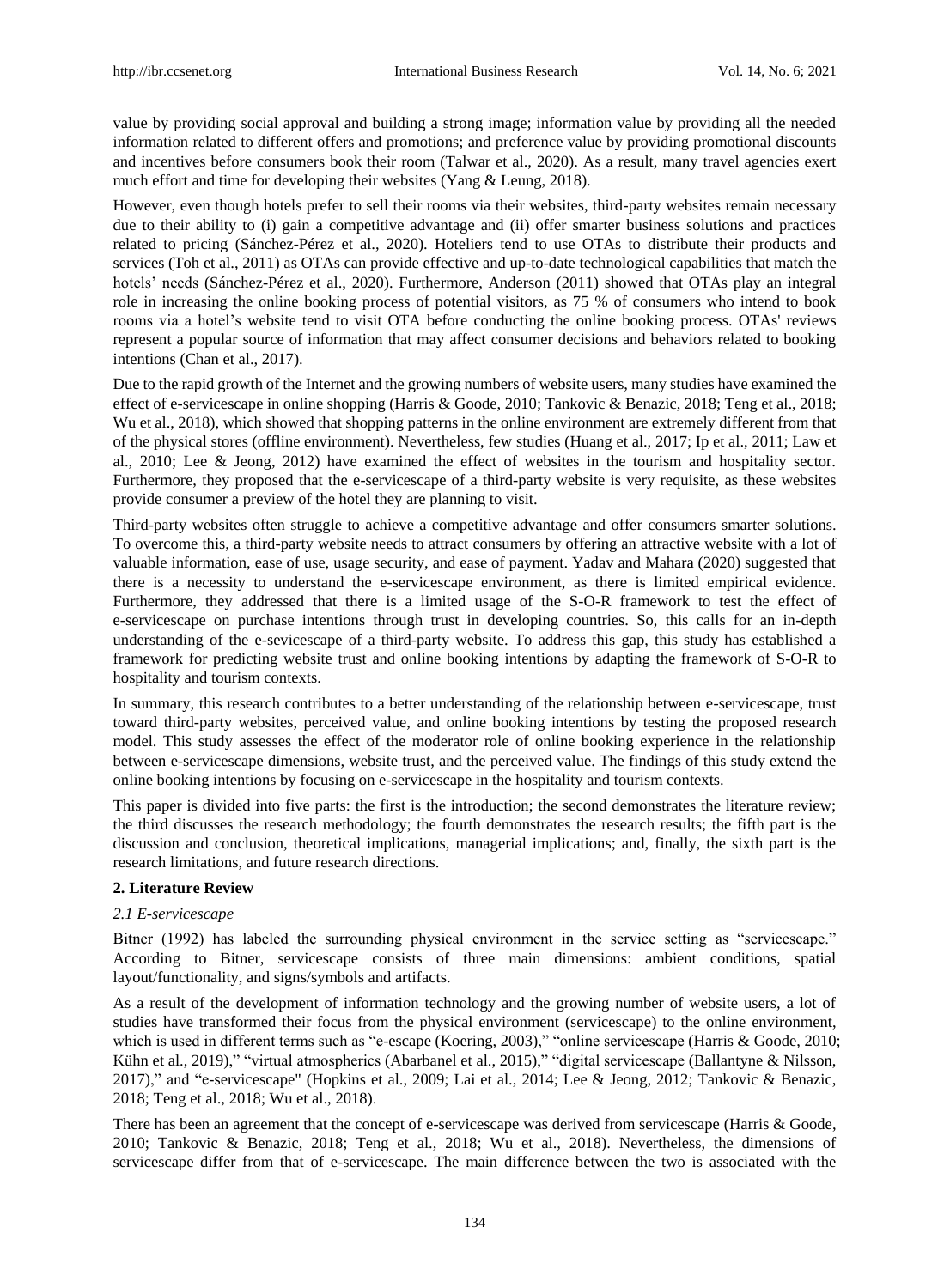value by providing social approval and building a strong image; information value by providing all the needed information related to different offers and promotions; and preference value by providing promotional discounts and incentives before consumers book their room (Talwar et al., 2020). As a result, many travel agencies exert much effort and time for developing their websites (Yang & Leung, 2018).

However, even though hotels prefer to sell their rooms via their websites, third-party websites remain necessary due to their ability to (i) gain a competitive advantage and (ii) offer smarter business solutions and practices related to pricing (Sánchez-Pérez et al., 2020). Hoteliers tend to use OTAs to distribute their products and services (Toh et al., 2011) as OTAs can provide effective and up-to-date technological capabilities that match the hotels' needs (S ánchez-P érez et al., 2020). Furthermore, Anderson (2011) showed that OTAs play an integral role in increasing the online booking process of potential visitors, as 75 % of consumers who intend to book rooms via a hotel"s website tend to visit OTA before conducting the online booking process. OTAs' reviews represent a popular source of information that may affect consumer decisions and behaviors related to booking intentions (Chan et al., 2017).

Due to the rapid growth of the Internet and the growing numbers of website users, many studies have examined the effect of e-servicescape in online shopping (Harris & Goode, 2010; Tankovic & Benazic, 2018; Teng et al., 2018; Wu et al., 2018), which showed that shopping patterns in the online environment are extremely different from that of the physical stores (offline environment). Nevertheless, few studies (Huang et al., 2017; Ip et al., 2011; Law et al., 2010; Lee & Jeong, 2012) have examined the effect of websites in the tourism and hospitality sector. Furthermore, they proposed that the e-servicescape of a third-party website is very requisite, as these websites provide consumer a preview of the hotel they are planning to visit.

Third-party websites often struggle to achieve a competitive advantage and offer consumers smarter solutions. To overcome this, a third-party website needs to attract consumers by offering an attractive website with a lot of valuable information, ease of use, usage security, and ease of payment. Yadav and Mahara (2020) suggested that there is a necessity to understand the e-servicescape environment, as there is limited empirical evidence. Furthermore, they addressed that there is a limited usage of the S-O-R framework to test the effect of e-servicescape on purchase intentions through trust in developing countries. So, this calls for an in-depth understanding of the e-sevicescape of a third-party website. To address this gap, this study has established a framework for predicting website trust and online booking intentions by adapting the framework of S-O-R to hospitality and tourism contexts.

In summary, this research contributes to a better understanding of the relationship between e-servicescape, trust toward third-party websites, perceived value, and online booking intentions by testing the proposed research model. This study assesses the effect of the moderator role of online booking experience in the relationship between e-servicescape dimensions, website trust, and the perceived value. The findings of this study extend the online booking intentions by focusing on e-servicescape in the hospitality and tourism contexts.

This paper is divided into five parts: the first is the introduction; the second demonstrates the literature review; the third discusses the research methodology; the fourth demonstrates the research results; the fifth part is the discussion and conclusion, theoretical implications, managerial implications; and, finally, the sixth part is the research limitations, and future research directions.

## **2. Literature Review**

## *2.1 E-servicescape*

Bitner (1992) has labeled the surrounding physical environment in the service setting as "servicescape." According to Bitner, servicescape consists of three main dimensions: ambient conditions, spatial layout/functionality, and signs/symbols and artifacts.

As a result of the development of information technology and the growing number of website users, a lot of studies have transformed their focus from the physical environment (servicescape) to the online environment, which is used in different terms such as "e-escape (Koering, 2003)," "online servicescape (Harris & Goode, 2010; Kühn et al., 2019)," "virtual atmospherics (Abarbanel et al., 2015)," "digital servicescape (Ballantyne & Nilsson, 2017)," and "e-servicescape" (Hopkins et al., 2009; Lai et al., 2014; Lee & Jeong, 2012; Tankovic & Benazic, 2018; Teng et al., 2018; Wu et al., 2018).

There has been an agreement that the concept of e-servicescape was derived from servicescape (Harris & Goode, 2010; Tankovic & Benazic, 2018; Teng et al., 2018; Wu et al., 2018). Nevertheless, the dimensions of servicescape differ from that of e-servicescape. The main difference between the two is associated with the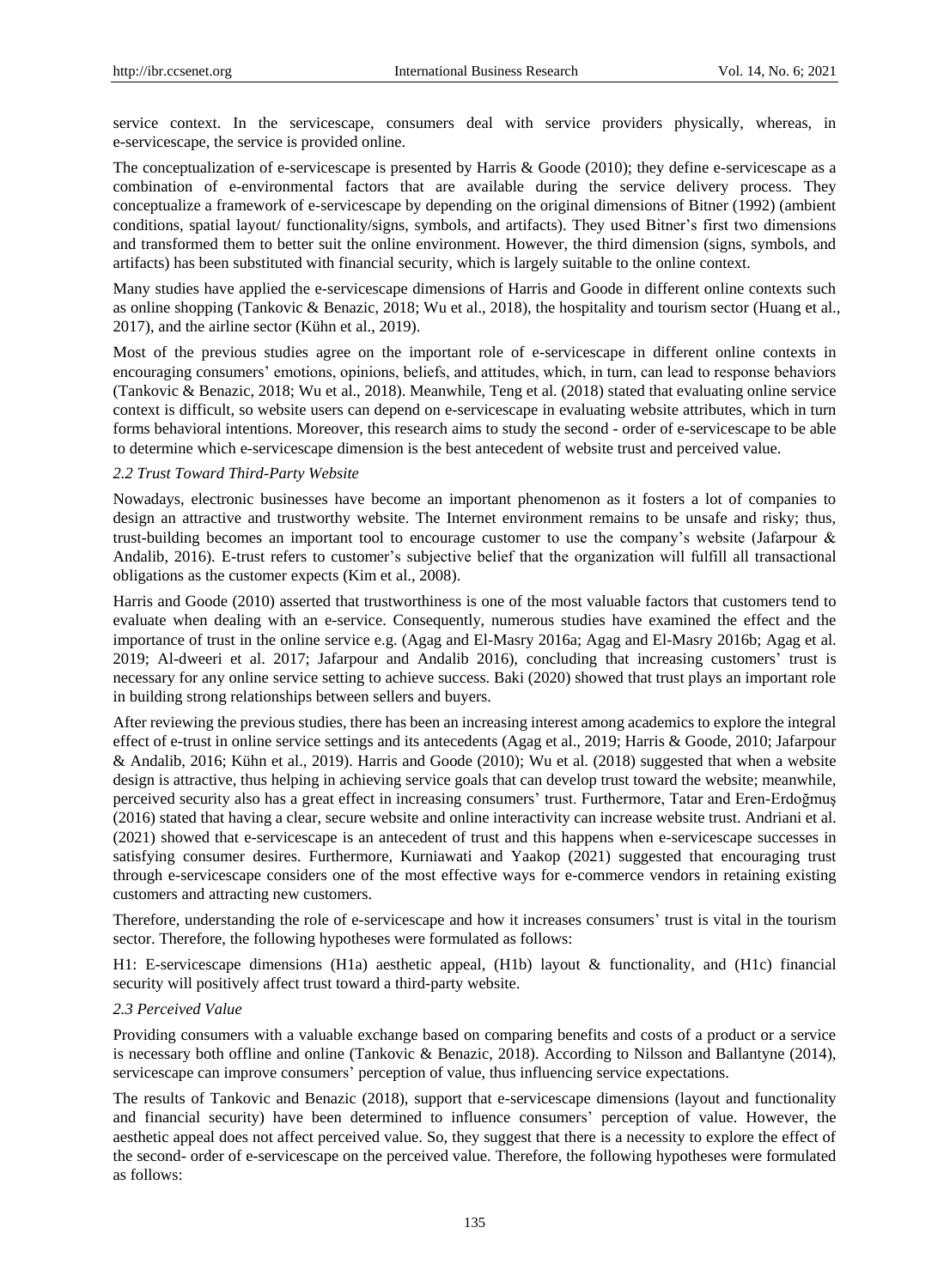service context. In the servicescape, consumers deal with service providers physically, whereas, in e-servicescape, the service is provided online.

The conceptualization of e-servicescape is presented by Harris & Goode (2010); they define e-servicescape as a combination of e-environmental factors that are available during the service delivery process. They conceptualize a framework of e-servicescape by depending on the original dimensions of Bitner (1992) (ambient conditions, spatial layout/ functionality/signs, symbols, and artifacts). They used Bitner"s first two dimensions and transformed them to better suit the online environment. However, the third dimension (signs, symbols, and artifacts) has been substituted with financial security, which is largely suitable to the online context.

Many studies have applied the e-servicescape dimensions of Harris and Goode in different online contexts such as online shopping (Tankovic & Benazic, 2018; Wu et al., 2018), the hospitality and tourism sector (Huang et al., 2017), and the airline sector (Kühn et al., 2019).

Most of the previous studies agree on the important role of e-servicescape in different online contexts in encouraging consumers" emotions, opinions, beliefs, and attitudes, which, in turn, can lead to response behaviors (Tankovic & Benazic, 2018; Wu et al., 2018). Meanwhile, Teng et al. (2018) stated that evaluating online service context is difficult, so website users can depend on e-servicescape in evaluating website attributes, which in turn forms behavioral intentions. Moreover, this research aims to study the second - order of e-servicescape to be able to determine which e-servicescape dimension is the best antecedent of website trust and perceived value.

## *2.2 Trust Toward Third-Party Website*

Nowadays, electronic businesses have become an important phenomenon as it fosters a lot of companies to design an attractive and trustworthy website. The Internet environment remains to be unsafe and risky; thus, trust-building becomes an important tool to encourage customer to use the company"s website (Jafarpour & Andalib, 2016). E-trust refers to customer"s subjective belief that the organization will fulfill all transactional obligations as the customer expects (Kim et al., 2008).

Harris and Goode (2010) asserted that trustworthiness is one of the most valuable factors that customers tend to evaluate when dealing with an e-service. Consequently, numerous studies have examined the effect and the importance of trust in the online service e.g. (Agag and El-Masry 2016a; Agag and El-Masry 2016b; Agag et al. 2019; Al-dweeri et al. 2017; Jafarpour and Andalib 2016), concluding that increasing customers" trust is necessary for any online service setting to achieve success. Baki (2020) showed that trust plays an important role in building strong relationships between sellers and buyers.

After reviewing the previous studies, there has been an increasing interest among academics to explore the integral effect of e-trust in online service settings and its antecedents (Agag et al., 2019; Harris & Goode, 2010; Jafarpour & Andalib, 2016; Kühn et al., 2019). Harris and Goode (2010); Wu et al. (2018) suggested that when a website design is attractive, thus helping in achieving service goals that can develop trust toward the website; meanwhile, perceived security also has a great effect in increasing consumers" trust. Furthermore, Tatar and Eren-Erdoğmuş (2016) stated that having a clear, secure website and online interactivity can increase website trust. Andriani et al. (2021) showed that e-servicescape is an antecedent of trust and this happens when e-servicescape successes in satisfying consumer desires. Furthermore, Kurniawati and Yaakop (2021) suggested that encouraging trust through e-servicescape considers one of the most effective ways for e-commerce vendors in retaining existing customers and attracting new customers.

Therefore, understanding the role of e-servicescape and how it increases consumers" trust is vital in the tourism sector. Therefore, the following hypotheses were formulated as follows:

H1: E-servicescape dimensions (H1a) aesthetic appeal, (H1b) layout & functionality, and (H1c) financial security will positively affect trust toward a third-party website.

#### *2.3 Perceived Value*

Providing consumers with a valuable exchange based on comparing benefits and costs of a product or a service is necessary both offline and online (Tankovic & Benazic, 2018). According to Nilsson and Ballantyne (2014), servicescape can improve consumers" perception of value, thus influencing service expectations.

The results of Tankovic and Benazic (2018), support that e-servicescape dimensions (layout and functionality and financial security) have been determined to influence consumers" perception of value. However, the aesthetic appeal does not affect perceived value. So, they suggest that there is a necessity to explore the effect of the second- order of e-servicescape on the perceived value. Therefore, the following hypotheses were formulated as follows: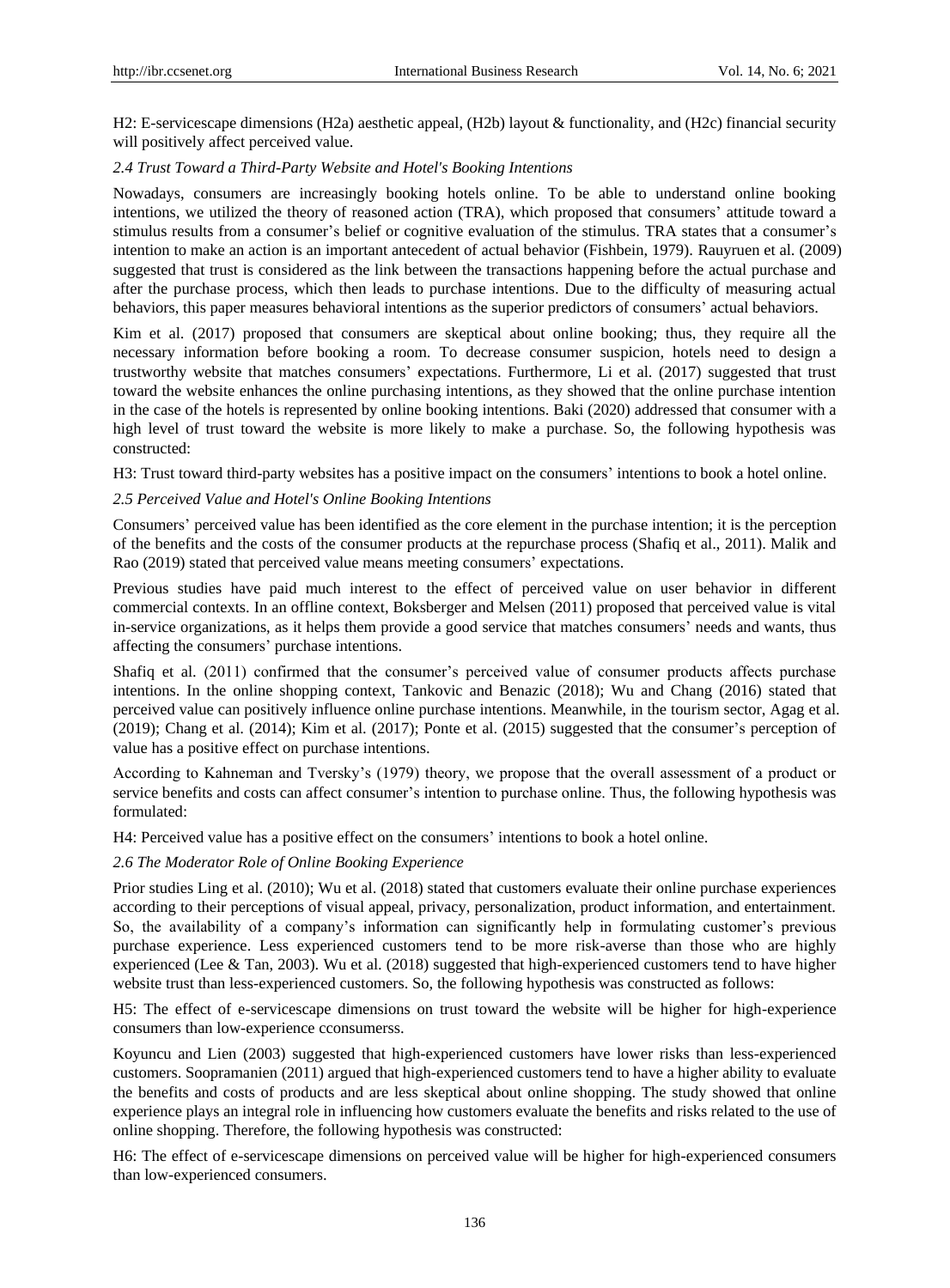H2: E-servicescape dimensions (H2a) aesthetic appeal, (H2b) layout & functionality, and (H2c) financial security will positively affect perceived value.

## *2.4 Trust Toward a Third-Party Website and Hotel's Booking Intentions*

Nowadays, consumers are increasingly booking hotels online. To be able to understand online booking intentions, we utilized the theory of reasoned action (TRA), which proposed that consumers" attitude toward a stimulus results from a consumer"s belief or cognitive evaluation of the stimulus. TRA states that a consumer"s intention to make an action is an important antecedent of actual behavior (Fishbein, 1979). Rauyruen et al. (2009) suggested that trust is considered as the link between the transactions happening before the actual purchase and after the purchase process, which then leads to purchase intentions. Due to the difficulty of measuring actual behaviors, this paper measures behavioral intentions as the superior predictors of consumers" actual behaviors.

Kim et al. (2017) proposed that consumers are skeptical about online booking; thus, they require all the necessary information before booking a room. To decrease consumer suspicion, hotels need to design a trustworthy website that matches consumers" expectations. Furthermore, Li et al. (2017) suggested that trust toward the website enhances the online purchasing intentions, as they showed that the online purchase intention in the case of the hotels is represented by online booking intentions. Baki (2020) addressed that consumer with a high level of trust toward the website is more likely to make a purchase. So, the following hypothesis was constructed:

H3: Trust toward third-party websites has a positive impact on the consumers" intentions to book a hotel online.

## *2.5 Perceived Value and Hotel's Online Booking Intentions*

Consumers" perceived value has been identified as the core element in the purchase intention; it is the perception of the benefits and the costs of the consumer products at the repurchase process (Shafiq et al., 2011). Malik and Rao (2019) stated that perceived value means meeting consumers" expectations.

Previous studies have paid much interest to the effect of perceived value on user behavior in different commercial contexts. In an offline context, Boksberger and Melsen (2011) proposed that perceived value is vital in-service organizations, as it helps them provide a good service that matches consumers" needs and wants, thus affecting the consumers' purchase intentions.

Shafiq et al. (2011) confirmed that the consumer's perceived value of consumer products affects purchase intentions. In the online shopping context, Tankovic and Benazic (2018); Wu and Chang (2016) stated that perceived value can positively influence online purchase intentions. Meanwhile, in the tourism sector, Agag et al. (2019); Chang et al. (2014); Kim et al. (2017); Ponte et al. (2015) suggested that the consumer"s perception of value has a positive effect on purchase intentions.

According to Kahneman and Tversky"s (1979) theory, we propose that the overall assessment of a product or service benefits and costs can affect consumer's intention to purchase online. Thus, the following hypothesis was formulated:

H4: Perceived value has a positive effect on the consumers" intentions to book a hotel online.

## *2.6 The Moderator Role of Online Booking Experience*

Prior studies Ling et al. (2010); Wu et al. (2018) stated that customers evaluate their online purchase experiences according to their perceptions of visual appeal, privacy, personalization, product information, and entertainment. So, the availability of a company"s information can significantly help in formulating customer"s previous purchase experience. Less experienced customers tend to be more risk-averse than those who are highly experienced (Lee & Tan, 2003). Wu et al. (2018) suggested that high-experienced customers tend to have higher website trust than less-experienced customers. So, the following hypothesis was constructed as follows:

H5: The effect of e-servicescape dimensions on trust toward the website will be higher for high-experience consumers than low-experience cconsumerss.

Koyuncu and Lien (2003) suggested that high-experienced customers have lower risks than less-experienced customers. Soopramanien (2011) argued that high-experienced customers tend to have a higher ability to evaluate the benefits and costs of products and are less skeptical about online shopping. The study showed that online experience plays an integral role in influencing how customers evaluate the benefits and risks related to the use of online shopping. Therefore, the following hypothesis was constructed:

H6: The effect of e-servicescape dimensions on perceived value will be higher for high-experienced consumers than low-experienced consumers.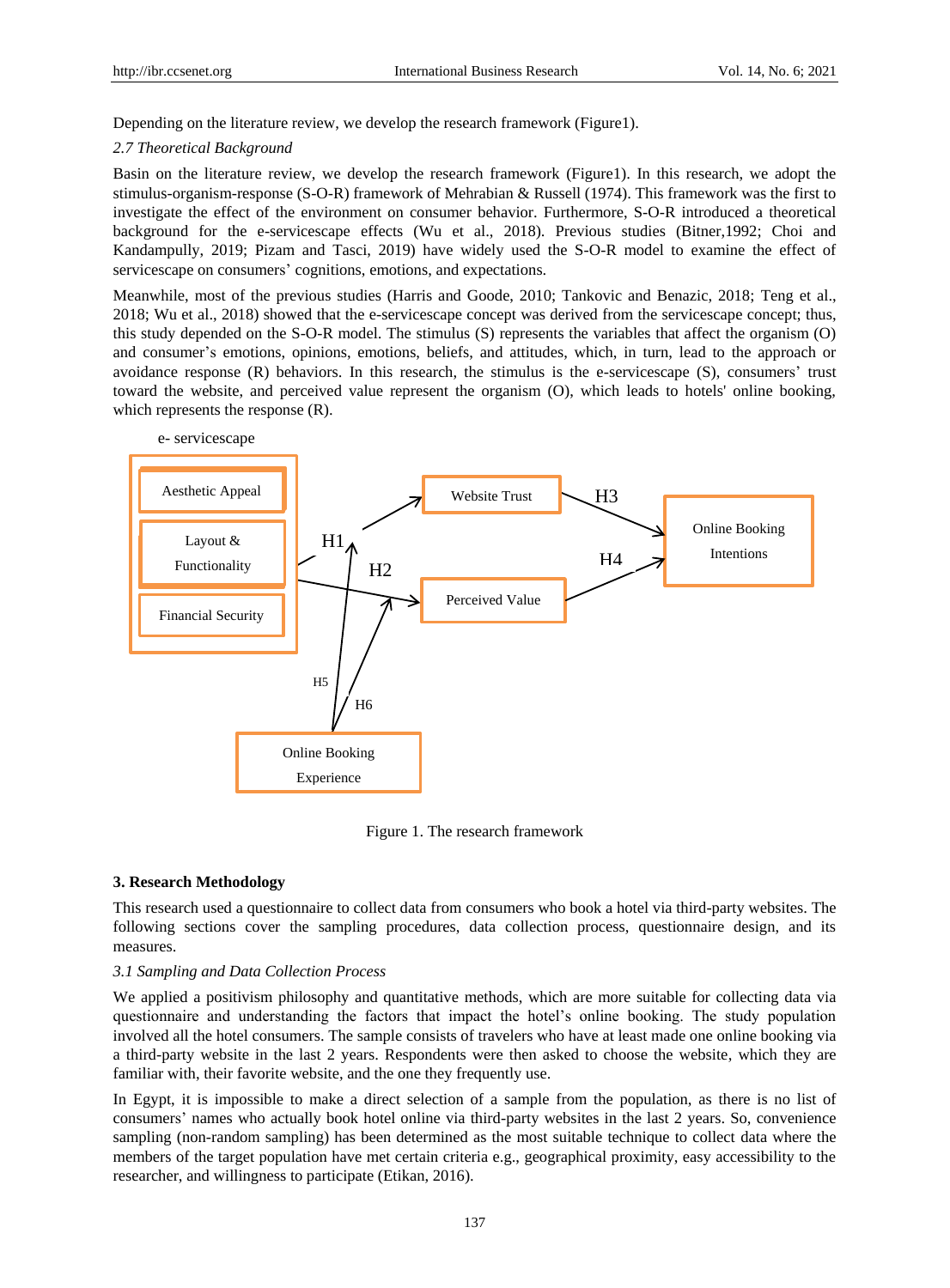Depending on the literature review, we develop the research framework (Figure1).

## *2.7 Theoretical Background*

Basin on the literature review, we develop the research framework (Figure1). In this research, we adopt the stimulus-organism-response (S-O-R) framework of Mehrabian & Russell (1974). This framework was the first to investigate the effect of the environment on consumer behavior. Furthermore, S-O-R introduced a theoretical background for the e-servicescape effects (Wu et al., 2018). Previous studies (Bitner,1992; Choi and Kandampully, 2019; Pizam and Tasci, 2019) have widely used the S-O-R model to examine the effect of servicescape on consumers' cognitions, emotions, and expectations.

Meanwhile, most of the previous studies (Harris and Goode, 2010; Tankovic and Benazic, 2018; Teng et al., 2018; Wu et al., 2018) showed that the e-servicescape concept was derived from the servicescape concept; thus, this study depended on the S-O-R model. The stimulus (S) represents the variables that affect the organism (O) and consumer"s emotions, opinions, emotions, beliefs, and attitudes, which, in turn, lead to the approach or avoidance response (R) behaviors. In this research, the stimulus is the e-servicescape (S), consumers" trust toward the website, and perceived value represent the organism (O), which leads to hotels' online booking, which represents the response (R).



Figure 1. The research framework

## **3. Research Methodology**

This research used a questionnaire to collect data from consumers who book a hotel via third-party websites. The following sections cover the sampling procedures, data collection process, questionnaire design, and its measures.

## *3.1 Sampling and Data Collection Process*

We applied a positivism philosophy and quantitative methods, which are more suitable for collecting data via questionnaire and understanding the factors that impact the hotel"s online booking. The study population involved all the hotel consumers. The sample consists of travelers who have at least made one online booking via a third-party website in the last 2 years. Respondents were then asked to choose the website, which they are familiar with, their favorite website, and the one they frequently use.

In Egypt, it is impossible to make a direct selection of a sample from the population, as there is no list of consumers" names who actually book hotel online via third-party websites in the last 2 years. So, convenience sampling (non-random sampling) has been determined as the most suitable technique to collect data where the members of the target population have met certain criteria e.g., geographical proximity, easy accessibility to the researcher, and willingness to participate (Etikan, 2016).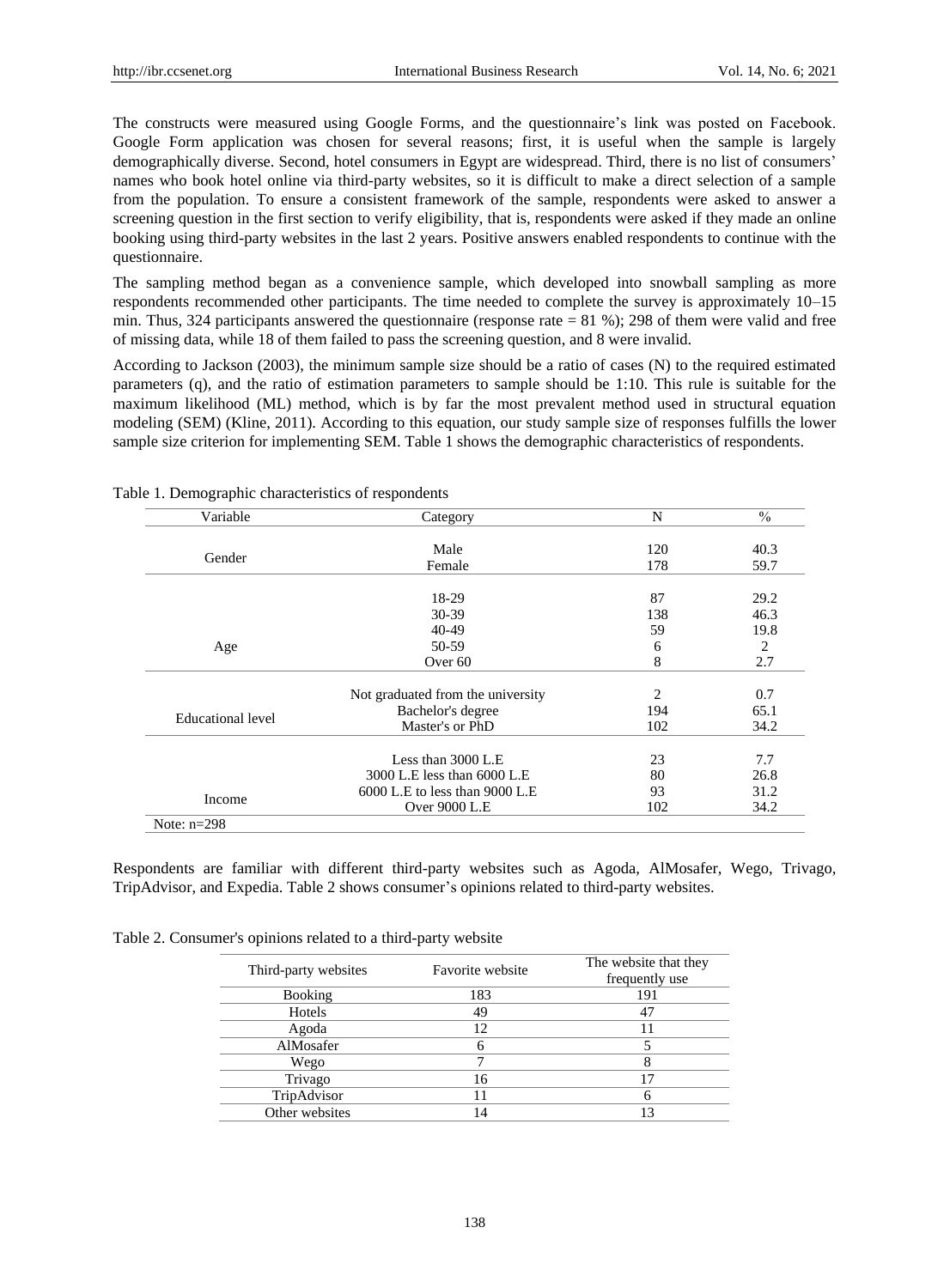The constructs were measured using Google Forms, and the questionnaire's link was posted on Facebook. Google Form application was chosen for several reasons; first, it is useful when the sample is largely demographically diverse. Second, hotel consumers in Egypt are widespread. Third, there is no list of consumers' names who book hotel online via third-party websites, so it is difficult to make a direct selection of a sample from the population. To ensure a consistent framework of the sample, respondents were asked to answer a screening question in the first section to verify eligibility, that is, respondents were asked if they made an online booking using third-party websites in the last 2 years. Positive answers enabled respondents to continue with the questionnaire.

The sampling method began as a convenience sample, which developed into snowball sampling as more respondents recommended other participants. The time needed to complete the survey is approximately 10–15 min. Thus, 324 participants answered the questionnaire (response rate = 81 %); 298 of them were valid and free of missing data, while 18 of them failed to pass the screening question, and 8 were invalid.

According to Jackson (2003), the minimum sample size should be a ratio of cases (N) to the required estimated parameters (q), and the ratio of estimation parameters to sample should be 1:10. This rule is suitable for the maximum likelihood (ML) method, which is by far the most prevalent method used in structural equation modeling (SEM) (Kline, 2011). According to this equation, our study sample size of responses fulfills the lower sample size criterion for implementing SEM. Table 1 shows the demographic characteristics of respondents.

| Variable          | Category                          | N   | $\frac{0}{0}$ |
|-------------------|-----------------------------------|-----|---------------|
|                   | Male                              | 120 | 40.3          |
| Gender            |                                   |     |               |
|                   | Female                            | 178 | 59.7          |
|                   | 18-29                             | 87  | 29.2          |
|                   | $30 - 39$                         | 138 | 46.3          |
|                   | 40-49                             | 59  | 19.8          |
| Age               | 50-59                             | 6   | 2             |
|                   | Over <sub>60</sub>                | 8   | 2.7           |
|                   | Not graduated from the university | 2   | 0.7           |
|                   | Bachelor's degree                 | 194 | 65.1          |
| Educational level | Master's or PhD                   | 102 | 34.2          |
|                   |                                   |     |               |
|                   | Less than $3000$ L.E              | 23  | 7.7           |
|                   | 3000 L.E less than 6000 L.E       | 80  | 26.8          |
| Income            | 6000 L.E to less than 9000 L.E    | 93  | 31.2          |
|                   | Over 9000 L.E                     | 102 | 34.2          |
| Note: $n=298$     |                                   |     |               |

Table 1. Demographic characteristics of respondents

Respondents are familiar with different third-party websites such as Agoda, AlMosafer, Wego, Trivago, TripAdvisor, and Expedia. Table 2 shows consumer"s opinions related to third-party websites.

|  | Table 2. Consumer's opinions related to a third-party website |  |
|--|---------------------------------------------------------------|--|
|  |                                                               |  |

| Third-party websites | Favorite website | The website that they<br>frequently use |
|----------------------|------------------|-----------------------------------------|
| <b>Booking</b>       | 183              | 191                                     |
| Hotels               | 49               |                                         |
| Agoda                | 12               |                                         |
| AlMosafer            | 6                |                                         |
| Wego                 |                  |                                         |
| Trivago              | 16               |                                         |
| TripAdvisor          |                  |                                         |
| Other websites       | 14               | 13                                      |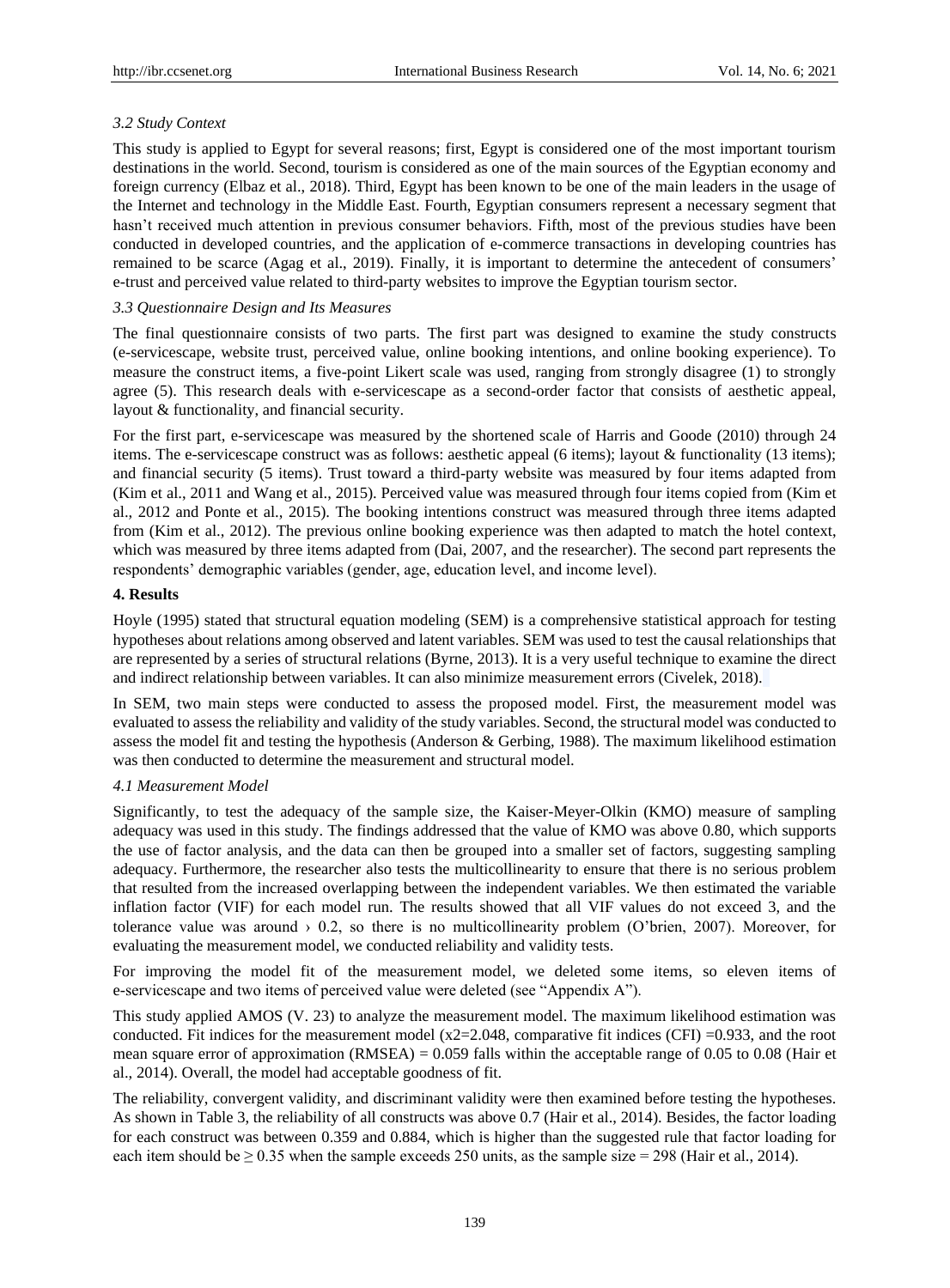# *3.2 Study Context*

This study is applied to Egypt for several reasons; first, Egypt is considered one of the most important tourism destinations in the world. Second, tourism is considered as one of the main sources of the Egyptian economy and foreign currency (Elbaz et al., 2018). Third, Egypt has been known to be one of the main leaders in the usage of the Internet and technology in the Middle East. Fourth, Egyptian consumers represent a necessary segment that hasn't received much attention in previous consumer behaviors. Fifth, most of the previous studies have been conducted in developed countries, and the application of e-commerce transactions in developing countries has remained to be scarce (Agag et al., 2019). Finally, it is important to determine the antecedent of consumers" e-trust and perceived value related to third-party websites to improve the Egyptian tourism sector.

# *3.3 Questionnaire Design and Its Measures*

The final questionnaire consists of two parts. The first part was designed to examine the study constructs (e-servicescape, website trust, perceived value, online booking intentions, and online booking experience). To measure the construct items, a five-point Likert scale was used, ranging from strongly disagree (1) to strongly agree (5). This research deals with e-servicescape as a second-order factor that consists of aesthetic appeal, layout & functionality, and financial security.

For the first part, e-servicescape was measured by the shortened scale of Harris and Goode (2010) through 24 items. The e-servicescape construct was as follows: aesthetic appeal (6 items); layout & functionality (13 items); and financial security (5 items). Trust toward a third-party website was measured by four items adapted from (Kim et al., 2011 and Wang et al., 2015). Perceived value was measured through four items copied from (Kim et al., 2012 and Ponte et al., 2015). The booking intentions construct was measured through three items adapted from (Kim et al., 2012). The previous online booking experience was then adapted to match the hotel context, which was measured by three items adapted from (Dai, 2007, and the researcher). The second part represents the respondents' demographic variables (gender, age, education level, and income level).

## **4. Results**

Hoyle (1995) stated that structural equation modeling (SEM) is a comprehensive statistical approach for testing hypotheses about relations among observed and latent variables. SEM was used to test the causal relationships that are represented by a series of structural relations (Byrne, 2013). It is a very useful technique to examine the direct and indirect relationship between variables. It can also minimize measurement errors (Civelek, 2018).

In SEM, two main steps were conducted to assess the proposed model. First, the measurement model was evaluated to assess the reliability and validity of the study variables. Second, the structural model was conducted to assess the model fit and testing the hypothesis (Anderson & Gerbing, 1988). The maximum likelihood estimation was then conducted to determine the measurement and structural model.

# *4.1 Measurement Model*

Significantly, to test the adequacy of the sample size, the Kaiser-Meyer-Olkin (KMO) measure of sampling adequacy was used in this study. The findings addressed that the value of KMO was above 0.80, which supports the use of factor analysis, and the data can then be grouped into a smaller set of factors, suggesting sampling adequacy. Furthermore, the researcher also tests the multicollinearity to ensure that there is no serious problem that resulted from the increased overlapping between the independent variables. We then estimated the variable inflation factor (VIF) for each model run. The results showed that all VIF values do not exceed 3, and the tolerance value was around  $\rightarrow 0.2$ , so there is no multicollinearity problem (O'brien, 2007). Moreover, for evaluating the measurement model, we conducted reliability and validity tests.

For improving the model fit of the measurement model, we deleted some items, so eleven items of e-servicescape and two items of perceived value were deleted (see "Appendix A").

This study applied AMOS (V. 23) to analyze the measurement model. The maximum likelihood estimation was conducted. Fit indices for the measurement model  $(x2=2.048$ , comparative fit indices  $(CFI) = 0.933$ , and the root mean square error of approximation (RMSEA) = 0.059 falls within the acceptable range of 0.05 to 0.08 (Hair et al., 2014). Overall, the model had acceptable goodness of fit.

The reliability, convergent validity, and discriminant validity were then examined before testing the hypotheses. As shown in Table 3, the reliability of all constructs was above 0.7 (Hair et al., 2014). Besides, the factor loading for each construct was between 0.359 and 0.884, which is higher than the suggested rule that factor loading for each item should be  $\geq 0.35$  when the sample exceeds 250 units, as the sample size = 298 (Hair et al., 2014).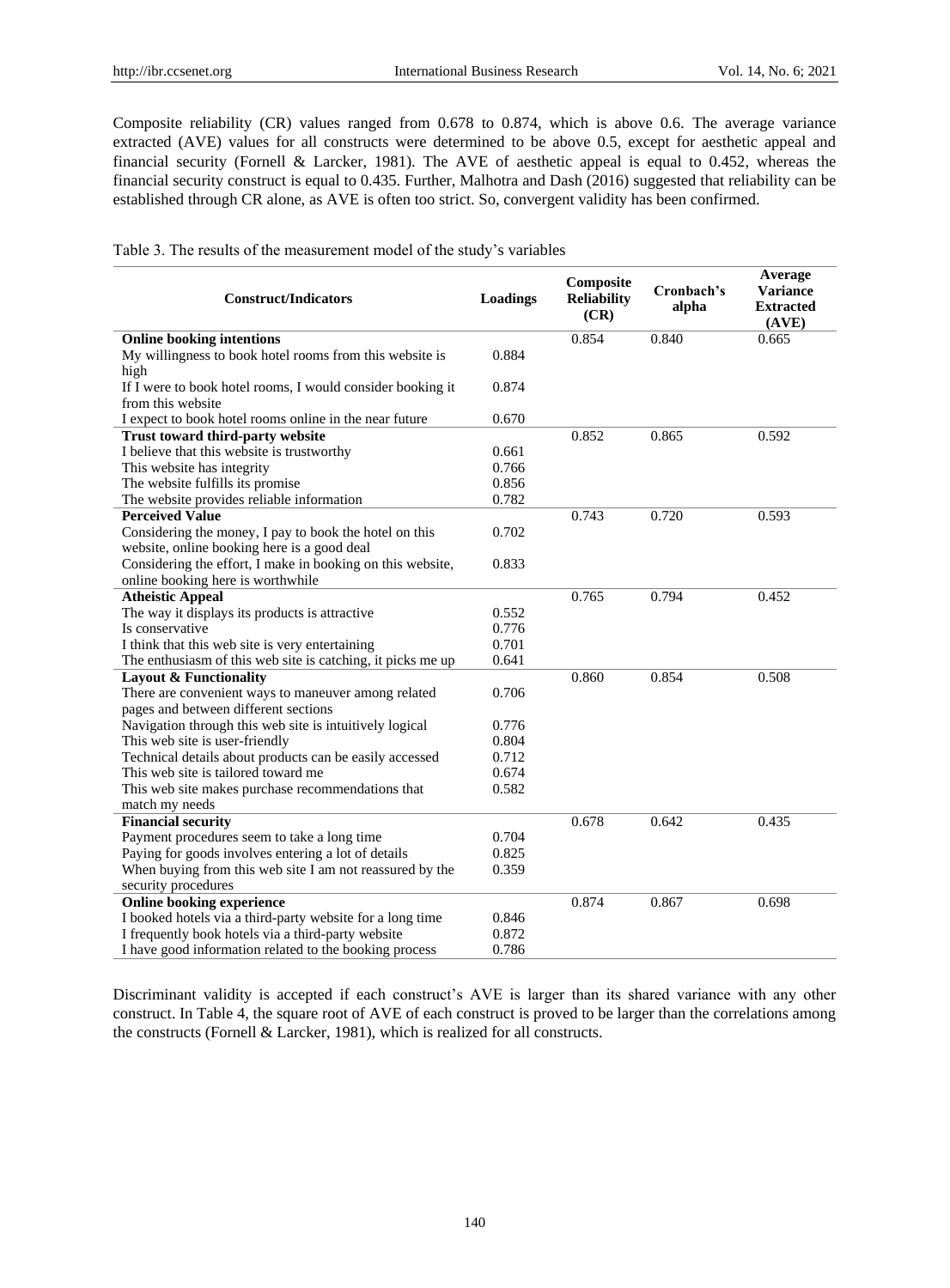Composite reliability (CR) values ranged from 0.678 to 0.874, which is above 0.6. The average variance extracted (AVE) values for all constructs were determined to be above 0.5, except for aesthetic appeal and financial security (Fornell & Larcker, 1981). The AVE of aesthetic appeal is equal to 0.452, whereas the financial security construct is equal to 0.435. Further, Malhotra and Dash (2016) suggested that reliability can be established through CR alone, as AVE is often too strict. So, convergent validity has been confirmed.

Table 3. The results of the measurement model of the study"s variables

| <b>Construct/Indicators</b>                                 | Loadings | Composite<br><b>Reliability</b><br>(CR) | Cronbach's<br>alpha | Average<br><b>Variance</b><br><b>Extracted</b><br>(AVE) |
|-------------------------------------------------------------|----------|-----------------------------------------|---------------------|---------------------------------------------------------|
| <b>Online booking intentions</b>                            |          | 0.854                                   | 0.840               | 0.665                                                   |
| My willingness to book hotel rooms from this website is     | 0.884    |                                         |                     |                                                         |
| high                                                        |          |                                         |                     |                                                         |
| If I were to book hotel rooms, I would consider booking it  | 0.874    |                                         |                     |                                                         |
| from this website                                           |          |                                         |                     |                                                         |
| I expect to book hotel rooms online in the near future      | 0.670    |                                         |                     |                                                         |
| Trust toward third-party website                            |          | 0.852                                   | 0.865               | 0.592                                                   |
| I believe that this website is trustworthy                  | 0.661    |                                         |                     |                                                         |
| This website has integrity                                  | 0.766    |                                         |                     |                                                         |
| The website fulfills its promise                            | 0.856    |                                         |                     |                                                         |
| The website provides reliable information                   | 0.782    |                                         |                     |                                                         |
| <b>Perceived Value</b>                                      |          | 0.743                                   | 0.720               | 0.593                                                   |
| Considering the money, I pay to book the hotel on this      | 0.702    |                                         |                     |                                                         |
| website, online booking here is a good deal                 |          |                                         |                     |                                                         |
| Considering the effort, I make in booking on this website,  | 0.833    |                                         |                     |                                                         |
| online booking here is worthwhile                           |          |                                         |                     |                                                         |
| <b>Atheistic Appeal</b>                                     |          | 0.765                                   | 0.794               | 0.452                                                   |
| The way it displays its products is attractive              | 0.552    |                                         |                     |                                                         |
| Is conservative                                             | 0.776    |                                         |                     |                                                         |
| I think that this web site is very entertaining             | 0.701    |                                         |                     |                                                         |
| The enthusiasm of this web site is catching, it picks me up | 0.641    |                                         |                     |                                                         |
| <b>Layout &amp; Functionality</b>                           |          | 0.860                                   | 0.854               | 0.508                                                   |
| There are convenient ways to maneuver among related         | 0.706    |                                         |                     |                                                         |
| pages and between different sections                        |          |                                         |                     |                                                         |
| Navigation through this web site is intuitively logical     | 0.776    |                                         |                     |                                                         |
| This web site is user-friendly                              | 0.804    |                                         |                     |                                                         |
| Technical details about products can be easily accessed     | 0.712    |                                         |                     |                                                         |
| This web site is tailored toward me                         | 0.674    |                                         |                     |                                                         |
| This web site makes purchase recommendations that           | 0.582    |                                         |                     |                                                         |
| match my needs                                              |          |                                         |                     |                                                         |
| <b>Financial security</b>                                   |          | 0.678                                   | 0.642               | 0.435                                                   |
| Payment procedures seem to take a long time                 | 0.704    |                                         |                     |                                                         |
| Paying for goods involves entering a lot of details         | 0.825    |                                         |                     |                                                         |
| When buying from this web site I am not reassured by the    | 0.359    |                                         |                     |                                                         |
| security procedures                                         |          |                                         |                     |                                                         |
| <b>Online booking experience</b>                            |          | 0.874                                   | 0.867               | 0.698                                                   |
| I booked hotels via a third-party website for a long time   | 0.846    |                                         |                     |                                                         |
| I frequently book hotels via a third-party website          | 0.872    |                                         |                     |                                                         |
| I have good information related to the booking process      | 0.786    |                                         |                     |                                                         |

Discriminant validity is accepted if each construct's AVE is larger than its shared variance with any other construct. In Table 4, the square root of AVE of each construct is proved to be larger than the correlations among the constructs (Fornell & Larcker, 1981), which is realized for all constructs.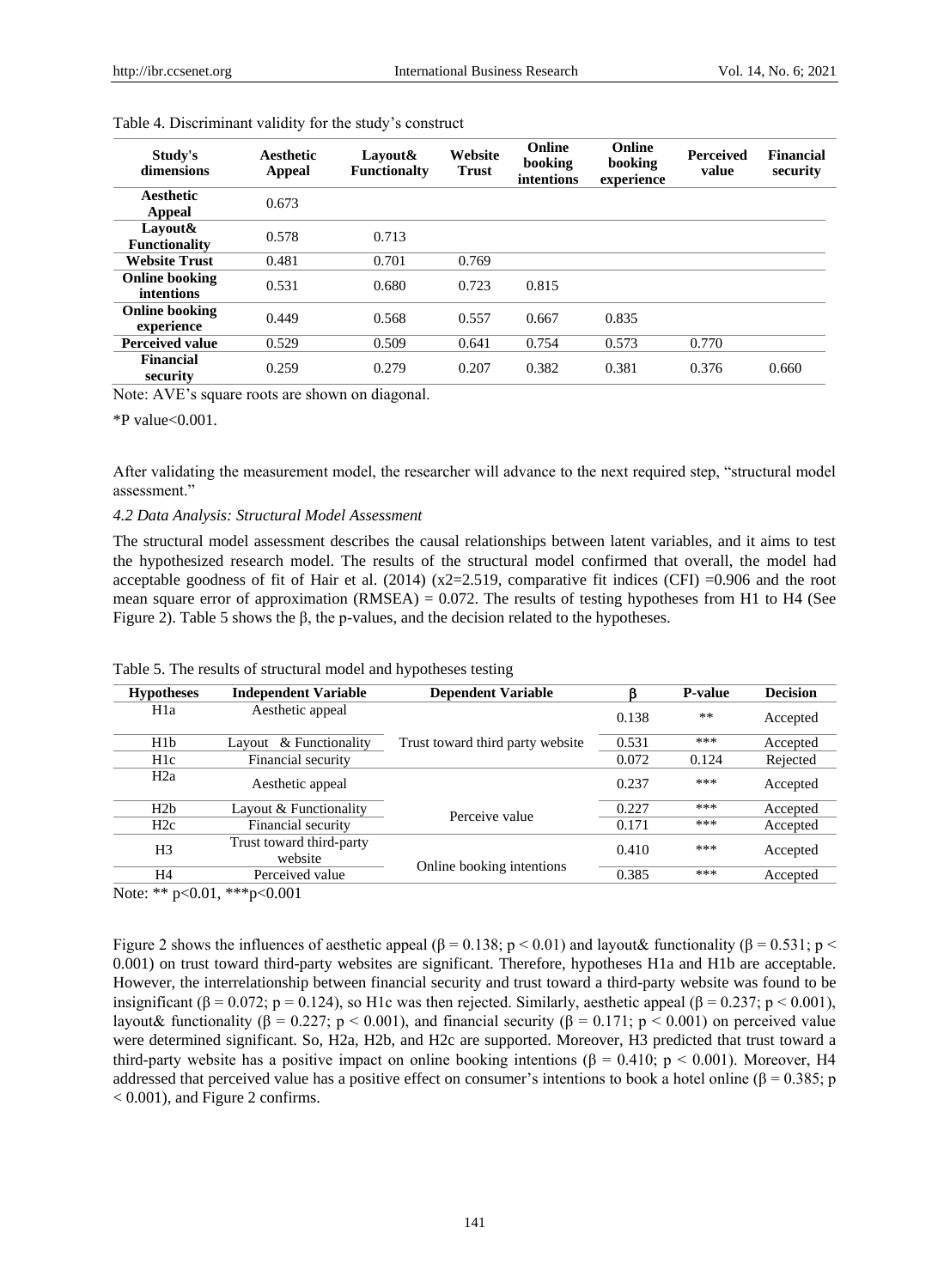| Study's<br>dimensions               | Aesthetic<br>Appeal | Lavout&<br><b>Functionalty</b> | Website<br><b>Trust</b> | Online<br>booking<br>intentions | Online<br>booking<br>experience | Perceived<br>value | <b>Financial</b><br>security |
|-------------------------------------|---------------------|--------------------------------|-------------------------|---------------------------------|---------------------------------|--------------------|------------------------------|
| Aesthetic                           | 0.673               |                                |                         |                                 |                                 |                    |                              |
| Appeal                              |                     |                                |                         |                                 |                                 |                    |                              |
| Lavout&<br><b>Functionality</b>     | 0.578               | 0.713                          |                         |                                 |                                 |                    |                              |
| <b>Website Trust</b>                | 0.481               | 0.701                          | 0.769                   |                                 |                                 |                    |                              |
| <b>Online booking</b><br>intentions | 0.531               | 0.680                          | 0.723                   | 0.815                           |                                 |                    |                              |
| <b>Online booking</b><br>experience | 0.449               | 0.568                          | 0.557                   | 0.667                           | 0.835                           |                    |                              |
| <b>Perceived value</b>              | 0.529               | 0.509                          | 0.641                   | 0.754                           | 0.573                           | 0.770              |                              |
| <b>Financial</b><br>security        | 0.259               | 0.279                          | 0.207                   | 0.382                           | 0.381                           | 0.376              | 0.660                        |

| Table 4. Discriminant validity for the study's construct |  |  |  |
|----------------------------------------------------------|--|--|--|
|----------------------------------------------------------|--|--|--|

Note: AVE's square roots are shown on diagonal.

\*P value<0.001.

After validating the measurement model, the researcher will advance to the next required step, "structural model assessment."

#### *4.2 Data Analysis: Structural Model Assessment*

The structural model assessment describes the causal relationships between latent variables, and it aims to test the hypothesized research model. The results of the structural model confirmed that overall, the model had acceptable goodness of fit of Hair et al. (2014) ( $x2=2.519$ , comparative fit indices (CFI) =0.906 and the root mean square error of approximation (RMSEA) =  $0.072$ . The results of testing hypotheses from H1 to H4 (See Figure 2). Table 5 shows the β, the p-values, and the decision related to the hypotheses.

| <b>Hypotheses</b> | <b>Independent Variable</b>         | <b>Dependent Variable</b>        |       | <b>P-value</b> | <b>Decision</b> |
|-------------------|-------------------------------------|----------------------------------|-------|----------------|-----------------|
| H <sub>1</sub> a  | Aesthetic appeal                    |                                  | 0.138 | **             | Accepted        |
| H1 <sub>b</sub>   | Layout & Functionality              | Trust toward third party website | 0.531 | ***            | Accepted        |
| H <sub>1</sub> c  | Financial security                  |                                  | 0.072 | 0.124          | Rejected        |
| H2a               | Aesthetic appeal                    |                                  | 0.237 | ***            | Accepted        |
| H2h               | Layout & Functionality              | Perceive value                   | 0.227 | ***            | Accepted        |
| H2c               | Financial security                  |                                  | 0.171 | ***            | Accepted        |
| H <sub>3</sub>    | Trust toward third-party<br>website |                                  | 0.410 | ***            | Accepted        |
| H4                | Perceived value                     | Online booking intentions        | 0.385 | ***            | Accepted        |
|                   |                                     |                                  |       |                |                 |

Table 5. The results of structural model and hypotheses testing

Note: \*\* p<0.01, \*\*\*p<0.001

Figure 2 shows the influences of aesthetic appeal (β = 0.138; p < 0.01) and layout& functionality (β = 0.531; p < 0.001) on trust toward third-party websites are significant. Therefore, hypotheses H1a and H1b are acceptable. However, the interrelationship between financial security and trust toward a third-party website was found to be insignificant ( $\beta = 0.072$ ; p = 0.124), so H1c was then rejected. Similarly, aesthetic appeal ( $\beta = 0.237$ ; p < 0.001), layout& functionality (β = 0.227; p < 0.001), and financial security (β = 0.171; p < 0.001) on perceived value were determined significant. So, H2a, H2b, and H2c are supported. Moreover, H3 predicted that trust toward a third-party website has a positive impact on online booking intentions (β = 0.410; p < 0.001). Moreover, H4 addressed that perceived value has a positive effect on consumer's intentions to book a hotel online ( $\beta$  = 0.385; p < 0.001), and Figure 2 confirms.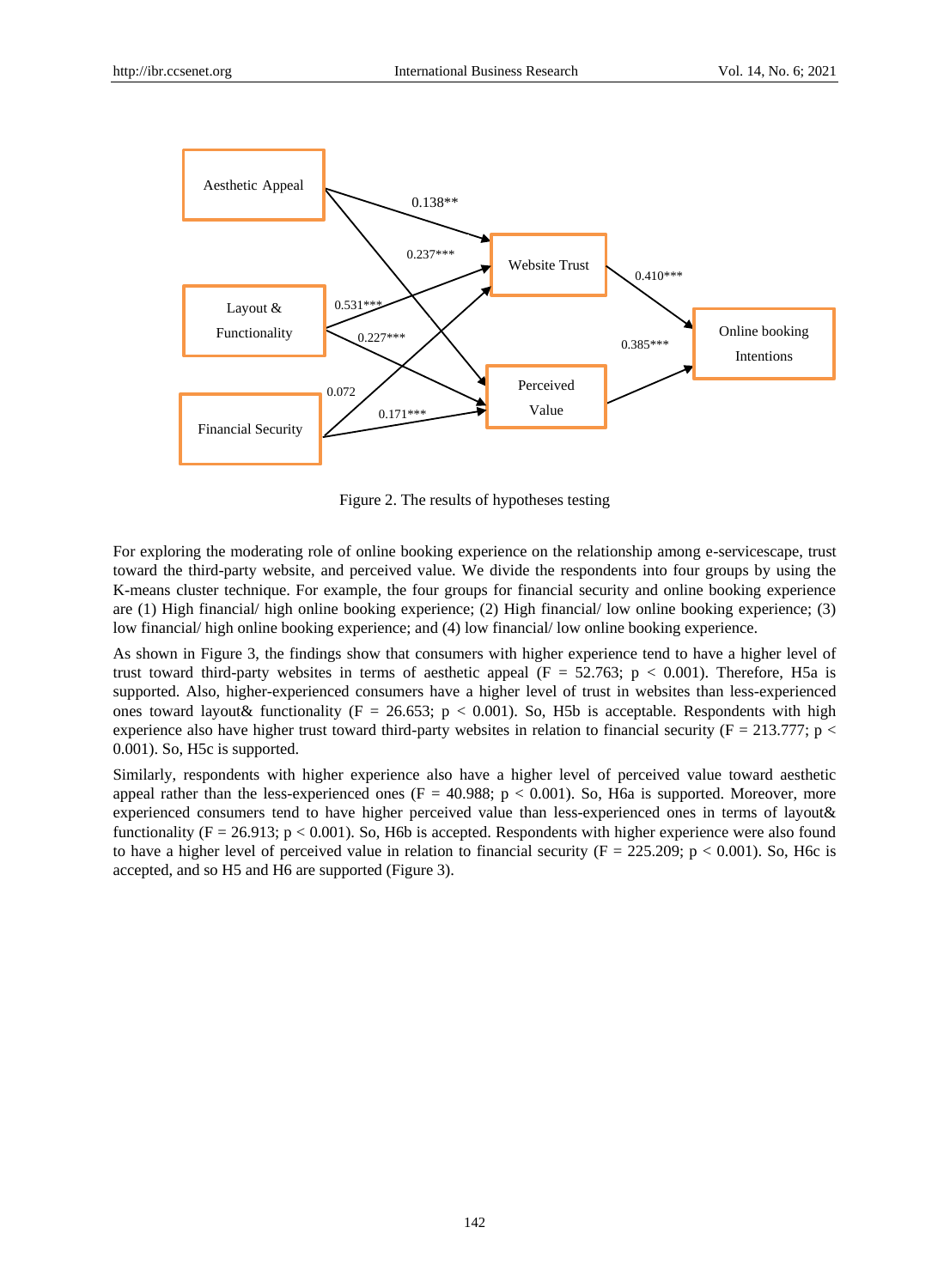

Figure 2. The results of hypotheses testing

For exploring the moderating role of online booking experience on the relationship among e-servicescape, trust toward the third-party website, and perceived value. We divide the respondents into four groups by using the K-means cluster technique. For example, the four groups for financial security and online booking experience are (1) High financial/ high online booking experience; (2) High financial/ low online booking experience; (3) low financial/ high online booking experience; and (4) low financial/ low online booking experience.

As shown in Figure 3, the findings show that consumers with higher experience tend to have a higher level of trust toward third-party websites in terms of aesthetic appeal ( $F = 52.763$ ;  $p < 0.001$ ). Therefore, H5a is supported. Also, higher-experienced consumers have a higher level of trust in websites than less-experienced ones toward layout & functionality ( $F = 26.653$ ;  $p < 0.001$ ). So, H5b is acceptable. Respondents with high experience also have higher trust toward third-party websites in relation to financial security ( $F = 213.777$ ; p < 0.001). So, H5c is supported.

Similarly, respondents with higher experience also have a higher level of perceived value toward aesthetic appeal rather than the less-experienced ones ( $F = 40.988$ ;  $p < 0.001$ ). So, H6a is supported. Moreover, more experienced consumers tend to have higher perceived value than less-experienced ones in terms of layout& functionality ( $F = 26.913$ ;  $p < 0.001$ ). So, H6b is accepted. Respondents with higher experience were also found to have a higher level of perceived value in relation to financial security  $(F = 225.209; p < 0.001)$ . So, H6c is accepted, and so H5 and H6 are supported (Figure 3).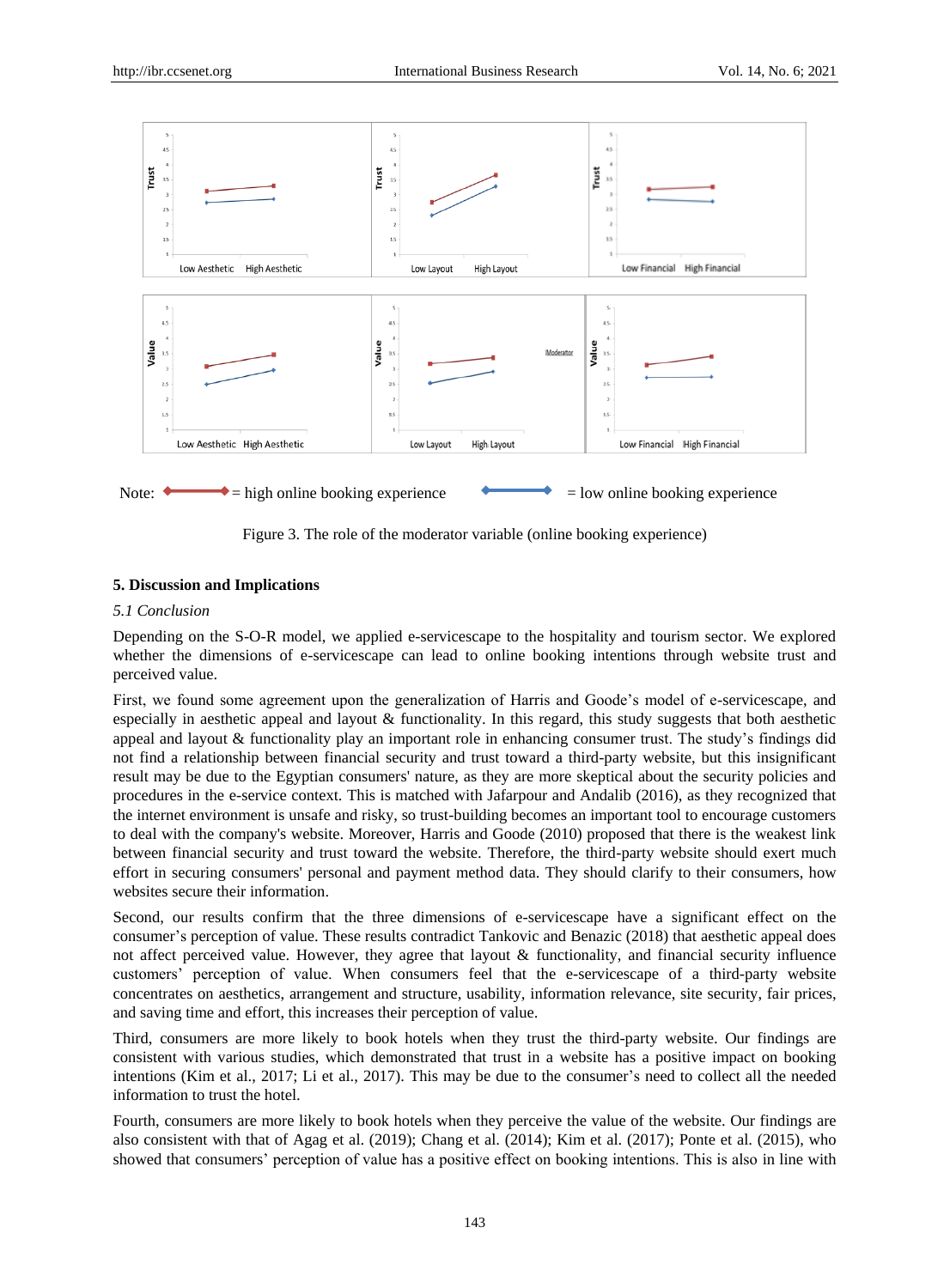

Figure 3. The role of the moderator variable (online booking experience)

## **5. Discussion and Implications**

## *5.1 Conclusion*

Depending on the S-O-R model, we applied e-servicescape to the hospitality and tourism sector. We explored whether the dimensions of e-servicescape can lead to online booking intentions through website trust and perceived value.

First, we found some agreement upon the generalization of Harris and Goode"s model of e-servicescape, and especially in aesthetic appeal and layout & functionality. In this regard, this study suggests that both aesthetic appeal and layout & functionality play an important role in enhancing consumer trust. The study"s findings did not find a relationship between financial security and trust toward a third-party website, but this insignificant result may be due to the Egyptian consumers' nature, as they are more skeptical about the security policies and procedures in the e-service context. This is matched with Jafarpour and Andalib (2016), as they recognized that the internet environment is unsafe and risky, so trust-building becomes an important tool to encourage customers to deal with the company's website. Moreover, Harris and Goode (2010) proposed that there is the weakest link between financial security and trust toward the website. Therefore, the third-party website should exert much effort in securing consumers' personal and payment method data. They should clarify to their consumers, how websites secure their information.

Second, our results confirm that the three dimensions of e-servicescape have a significant effect on the consumer"s perception of value. These results contradict Tankovic and Benazic (2018) that aesthetic appeal does not affect perceived value. However, they agree that layout & functionality, and financial security influence customers" perception of value. When consumers feel that the e-servicescape of a third-party website concentrates on aesthetics, arrangement and structure, usability, information relevance, site security, fair prices, and saving time and effort, this increases their perception of value.

Third, consumers are more likely to book hotels when they trust the third-party website. Our findings are consistent with various studies, which demonstrated that trust in a website has a positive impact on booking intentions (Kim et al., 2017; Li et al., 2017). This may be due to the consumer's need to collect all the needed information to trust the hotel.

Fourth, consumers are more likely to book hotels when they perceive the value of the website. Our findings are also consistent with that of Agag et al. (2019); Chang et al. (2014); Kim et al. (2017); Ponte et al. (2015), who showed that consumers' perception of value has a positive effect on booking intentions. This is also in line with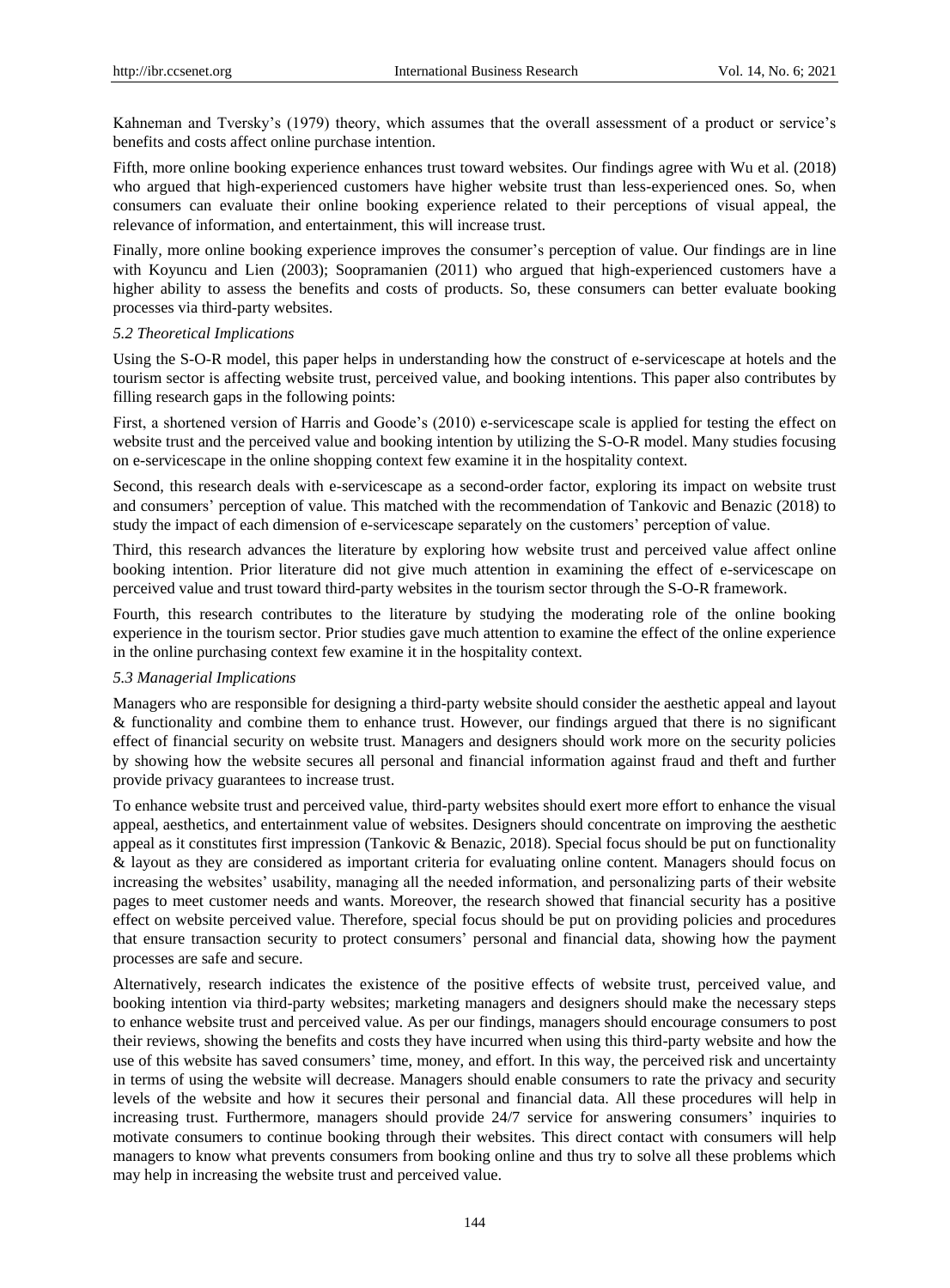Kahneman and Tversky's (1979) theory, which assumes that the overall assessment of a product or service's benefits and costs affect online purchase intention.

Fifth, more online booking experience enhances trust toward websites. Our findings agree with Wu et al. (2018) who argued that high-experienced customers have higher website trust than less-experienced ones. So, when consumers can evaluate their online booking experience related to their perceptions of visual appeal, the relevance of information, and entertainment, this will increase trust.

Finally, more online booking experience improves the consumer's perception of value. Our findings are in line with Koyuncu and Lien (2003); Soopramanien (2011) who argued that high-experienced customers have a higher ability to assess the benefits and costs of products. So, these consumers can better evaluate booking processes via third-party websites.

#### *5.2 Theoretical Implications*

Using the S-O-R model, this paper helps in understanding how the construct of e-servicescape at hotels and the tourism sector is affecting website trust, perceived value, and booking intentions. This paper also contributes by filling research gaps in the following points:

First, a shortened version of Harris and Goode's (2010) e-servicescape scale is applied for testing the effect on website trust and the perceived value and booking intention by utilizing the S-O-R model. Many studies focusing on e-servicescape in the online shopping context few examine it in the hospitality context.

Second, this research deals with e-servicescape as a second-order factor, exploring its impact on website trust and consumers" perception of value. This matched with the recommendation of Tankovic and Benazic (2018) to study the impact of each dimension of e-servicescape separately on the customers" perception of value.

Third, this research advances the literature by exploring how website trust and perceived value affect online booking intention. Prior literature did not give much attention in examining the effect of e-servicescape on perceived value and trust toward third-party websites in the tourism sector through the S-O-R framework.

Fourth, this research contributes to the literature by studying the moderating role of the online booking experience in the tourism sector. Prior studies gave much attention to examine the effect of the online experience in the online purchasing context few examine it in the hospitality context.

#### *5.3 Managerial Implications*

Managers who are responsible for designing a third-party website should consider the aesthetic appeal and layout & functionality and combine them to enhance trust. However, our findings argued that there is no significant effect of financial security on website trust. Managers and designers should work more on the security policies by showing how the website secures all personal and financial information against fraud and theft and further provide privacy guarantees to increase trust.

To enhance website trust and perceived value, third-party websites should exert more effort to enhance the visual appeal, aesthetics, and entertainment value of websites. Designers should concentrate on improving the aesthetic appeal as it constitutes first impression (Tankovic & Benazic, 2018). Special focus should be put on functionality & layout as they are considered as important criteria for evaluating online content. Managers should focus on increasing the websites' usability, managing all the needed information, and personalizing parts of their website pages to meet customer needs and wants. Moreover, the research showed that financial security has a positive effect on website perceived value. Therefore, special focus should be put on providing policies and procedures that ensure transaction security to protect consumers" personal and financial data, showing how the payment processes are safe and secure.

Alternatively, research indicates the existence of the positive effects of website trust, perceived value, and booking intention via third-party websites; marketing managers and designers should make the necessary steps to enhance website trust and perceived value. As per our findings, managers should encourage consumers to post their reviews, showing the benefits and costs they have incurred when using this third-party website and how the use of this website has saved consumers" time, money, and effort. In this way, the perceived risk and uncertainty in terms of using the website will decrease. Managers should enable consumers to rate the privacy and security levels of the website and how it secures their personal and financial data. All these procedures will help in increasing trust. Furthermore, managers should provide 24/7 service for answering consumers' inquiries to motivate consumers to continue booking through their websites. This direct contact with consumers will help managers to know what prevents consumers from booking online and thus try to solve all these problems which may help in increasing the website trust and perceived value.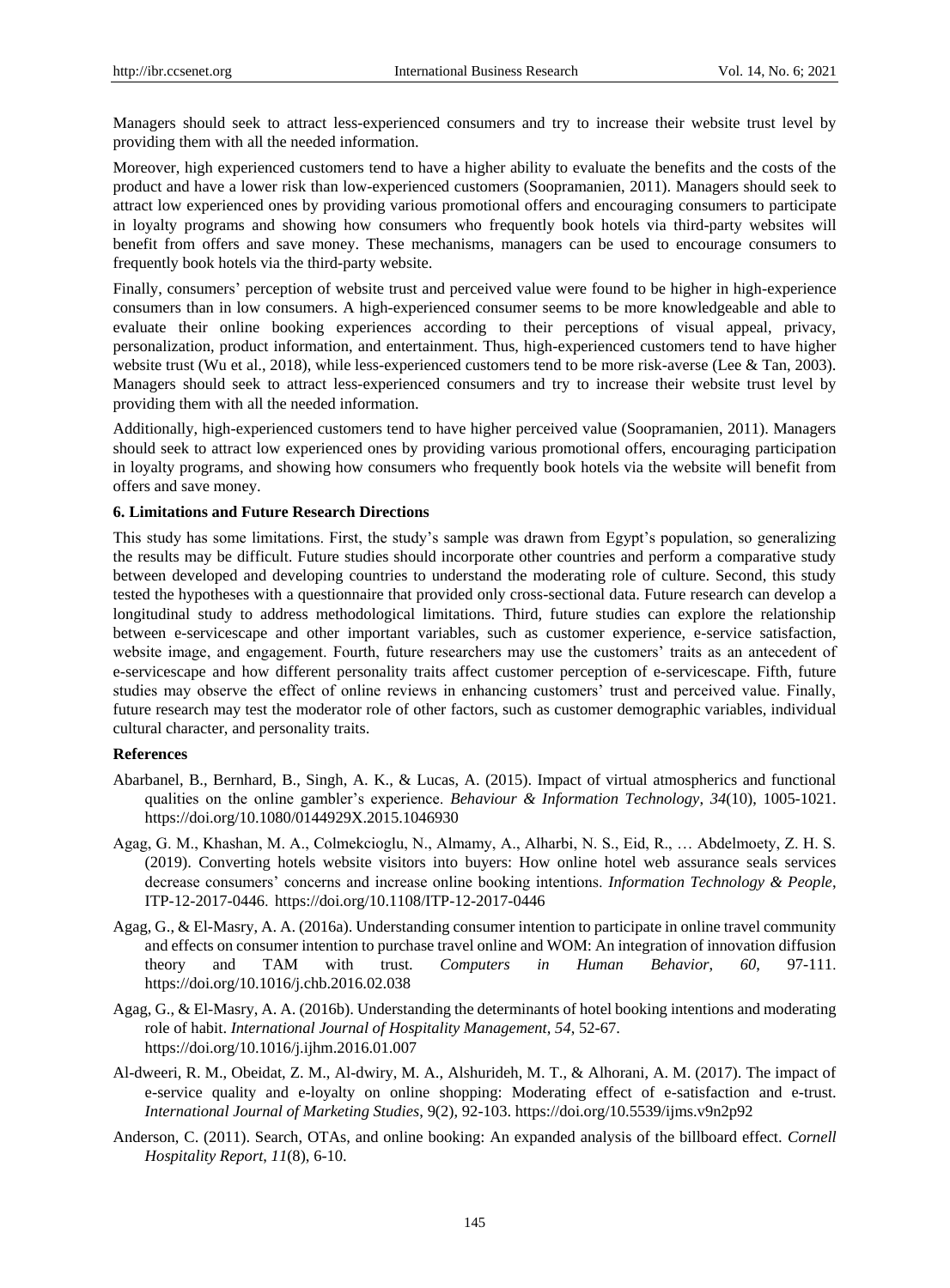Managers should seek to attract less-experienced consumers and try to increase their website trust level by providing them with all the needed information.

Moreover, high experienced customers tend to have a higher ability to evaluate the benefits and the costs of the product and have a lower risk than low-experienced customers (Soopramanien, 2011). Managers should seek to attract low experienced ones by providing various promotional offers and encouraging consumers to participate in loyalty programs and showing how consumers who frequently book hotels via third-party websites will benefit from offers and save money. These mechanisms, managers can be used to encourage consumers to frequently book hotels via the third-party website.

Finally, consumers' perception of website trust and perceived value were found to be higher in high-experience consumers than in low consumers. A high-experienced consumer seems to be more knowledgeable and able to evaluate their online booking experiences according to their perceptions of visual appeal, privacy, personalization, product information, and entertainment. Thus, high-experienced customers tend to have higher website trust (Wu et al., 2018), while less-experienced customers tend to be more risk-averse (Lee & Tan, 2003). Managers should seek to attract less-experienced consumers and try to increase their website trust level by providing them with all the needed information.

Additionally, high-experienced customers tend to have higher perceived value (Soopramanien, 2011). Managers should seek to attract low experienced ones by providing various promotional offers, encouraging participation in loyalty programs, and showing how consumers who frequently book hotels via the website will benefit from offers and save money.

## **6. Limitations and Future Research Directions**

This study has some limitations. First, the study"s sample was drawn from Egypt"s population, so generalizing the results may be difficult. Future studies should incorporate other countries and perform a comparative study between developed and developing countries to understand the moderating role of culture. Second, this study tested the hypotheses with a questionnaire that provided only cross-sectional data. Future research can develop a longitudinal study to address methodological limitations. Third, future studies can explore the relationship between e-servicescape and other important variables, such as customer experience, e-service satisfaction, website image, and engagement. Fourth, future researchers may use the customers' traits as an antecedent of e-servicescape and how different personality traits affect customer perception of e-servicescape. Fifth, future studies may observe the effect of online reviews in enhancing customers' trust and perceived value. Finally, future research may test the moderator role of other factors, such as customer demographic variables, individual cultural character, and personality traits.

#### **References**

- Abarbanel, B., Bernhard, B., Singh, A. K., & Lucas, A. (2015). Impact of virtual atmospherics and functional qualities on the online gambler"s experience. *Behaviour & Information Technology*, *34*(10), 1005-1021. <https://doi.org/10.1080/0144929X.2015.1046930>
- Agag, G. M., Khashan, M. A., Colmekcioglu, N., Almamy, A., Alharbi, N. S., Eid, R., … Abdelmoety, Z. H. S. (2019). Converting hotels website visitors into buyers: How online hotel web assurance seals services decrease consumers" concerns and increase online booking intentions. *Information Technology & People*, ITP-12-2017-0446. <https://doi.org/10.1108/ITP-12-2017-0446>
- Agag, G., & El-Masry, A. A. (2016a). Understanding consumer intention to participate in online travel community and effects on consumer intention to purchase travel online and WOM: An integration of innovation diffusion theory and TAM with trust. *Computers in Human Behavior*, *60*, 97-111. <https://doi.org/10.1016/j.chb.2016.02.038>
- Agag, G., & El-Masry, A. A. (2016b). Understanding the determinants of hotel booking intentions and moderating role of habit. *International Journal of Hospitality Management*, *54*, 52-67. <https://doi.org/10.1016/j.ijhm.2016.01.007>
- Al-dweeri, R. M., Obeidat, Z. M., Al-dwiry, M. A., Alshurideh, M. T., & Alhorani, A. M. (2017). The impact of e-service quality and e-loyalty on online shopping: Moderating effect of e-satisfaction and e-trust. *International Journal of Marketing Studies*, 9(2), 92-103.<https://doi.org/10.5539/ijms.v9n2p92>
- Anderson, C. (2011). Search, OTAs, and online booking: An expanded analysis of the billboard effect. *Cornell Hospitality Report*, *11*(8), 6-10.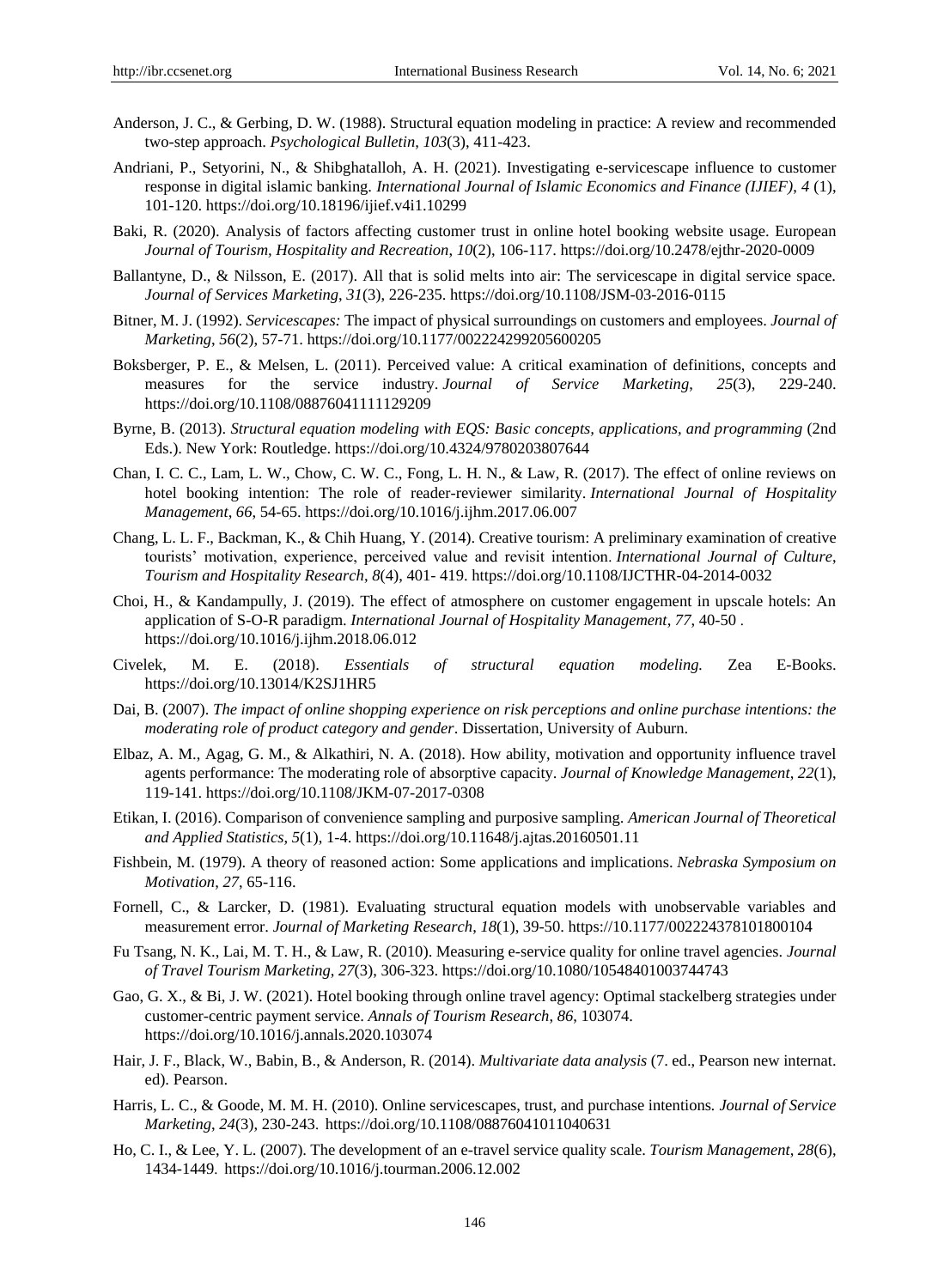- Anderson, J. C., & Gerbing, D. W. (1988). Structural equation modeling in practice: A review and recommended two-step approach. *Psychological Bulletin*, *103*(3), 411-423.
- Andriani, P., Setyorini, N., & Shibghatalloh, A. H. (2021). Investigating e-servicescape influence to customer response in digital islamic banking. *International Journal of Islamic Economics and Finance (IJIEF)*, *4* (1), 101-120.<https://doi.org/10.18196/ijief.v4i1.10299>
- Baki, R. (2020). Analysis of factors affecting customer trust in online hotel booking website usage. European *Journal of Tourism, Hospitality and Recreation*, *10*(2), 106-117. https://doi.org/10.2478/ejthr-2020-0009
- Ballantyne, D., & Nilsson, E. (2017). All that is solid melts into air: The servicescape in digital service space. *Journal of Services Marketing*, *31*(3), 226-235.<https://doi.org/10.1108/JSM-03-2016-0115>
- Bitner, M. J. (1992). *Servicescapes:* The impact of physical surroundings on customers and employees. *Journal of Marketing*, *56*(2), 57-71. <https://doi.org/10.1177/002224299205600205>
- Boksberger, P. E., & Melsen, L. (2011). Perceived value: A critical examination of definitions, concepts and measures for the service industry. *Journal of Service Marketing*, *25*(3), 229-240. <https://doi.org/10.1108/08876041111129209>
- Byrne, B. (2013). *Structural equation modeling with EQS: Basic concepts, applications, and programming* (2nd Eds.). New York: Routledge. https://doi.org/10.4324/9780203807644
- Chan, I. C. C., Lam, L. W., Chow, C. W. C., Fong, L. H. N., & Law, R. (2017). The effect of online reviews on hotel booking intention: The role of reader-reviewer similarity. *International Journal of Hospitality Management*, *66*, 54-65. <https://doi.org/10.1016/j.ijhm.2017.06.007>
- Chang, L. L. F., Backman, K., & Chih Huang, Y. (2014). Creative tourism: A preliminary examination of creative tourists" motivation, experience, perceived value and revisit intention. *International Journal of Culture*, *Tourism and Hospitality Research*, *8*(4), 401- 419. <https://doi.org/10.1108/IJCTHR-04-2014-0032>
- Choi, H., & Kandampully, J. (2019). The effect of atmosphere on customer engagement in upscale hotels: An application of S-O-R paradigm. *International Journal of Hospitality Management*, *77*, 40-50 . <https://doi.org/10.1016/j.ijhm.2018.06.012>
- Civelek, M. E. (2018). *Essentials of structural equation modeling.* Zea E-Books. https://doi.org/10.13014/K2SJ1HR5
- Dai, B. (2007). *The impact of online shopping experience on risk perceptions and online purchase intentions: the moderating role of product category and gender*. Dissertation, University of Auburn.
- Elbaz, A. M., Agag, G. M., & Alkathiri, N. A. (2018). How ability, motivation and opportunity influence travel agents performance: The moderating role of absorptive capacity. *Journal of Knowledge Management*, *22*(1), 119-141. <https://doi.org/10.1108/JKM-07-2017-0308>
- Etikan, I. (2016). Comparison of convenience sampling and purposive sampling. *American Journal of Theoretical and Applied Statistics*, *5*(1), 1-4.<https://doi.org/10.11648/j.ajtas.20160501.11>
- Fishbein, M. (1979). A theory of reasoned action: Some applications and implications. *Nebraska Symposium on Motivation*, *27*, 65-116.
- Fornell, C., & Larcker, D. (1981). Evaluating structural equation models with unobservable variables and measurement error. *Journal of Marketing Research*, *18*(1), 39-50. [https://10.1177/002224378101800104](https://10.0.4.153/002224378101800104)
- Fu Tsang, N. K., Lai, M. T. H., & Law, R. (2010). Measuring e-service quality for online travel agencies. *Journal of Travel Tourism Marketing*, *27*(3), 306-323.<https://doi.org/10.1080/10548401003744743>
- Gao, G. X., & Bi, J. W. (2021). Hotel booking through online travel agency: Optimal stackelberg strategies under customer-centric payment service. *Annals of Tourism Research*, *86*, 103074. https://doi.org/10.1016/j.annals.2020.103074
- Hair, J. F., Black, W., Babin, B., & Anderson, R. (2014). *Multivariate data analysis* (7. ed., Pearson new internat. ed). Pearson.
- Harris, L. C., & Goode, M. M. H. (2010). Online servicescapes, trust, and purchase intentions*. Journal of Service Marketing*, *24*(3), 230-243. <https://doi.org/10.1108/08876041011040631>
- Ho, C. I., & Lee, Y. L. (2007). The development of an e-travel service quality scale. *Tourism Management*, *28*(6), 1434-1449. <https://doi.org/10.1016/j.tourman.2006.12.002>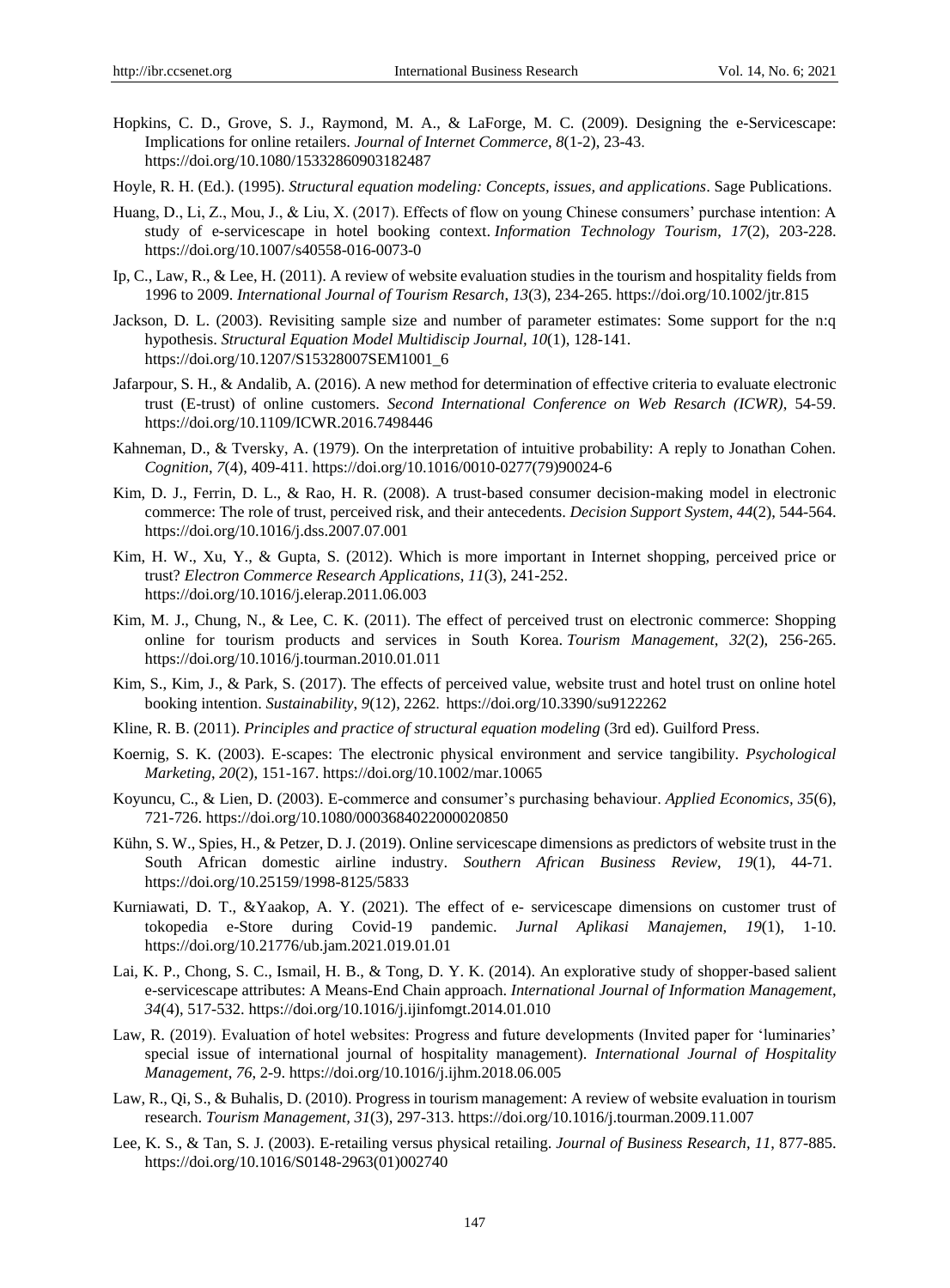- Hopkins, C. D., Grove, S. J., Raymond, M. A., & LaForge, M. C. (2009). Designing the e-Servicescape: Implications for online retailers. *Journal of Internet Commerce*, *8*(1-2), 23-43. <https://doi.org/10.1080/15332860903182487>
- Hoyle, R. H. (Ed.). (1995). *Structural equation modeling: Concepts, issues, and applications*. Sage Publications.
- Huang, D., Li, Z., Mou, J., & Liu, X. (2017). Effects of flow on young Chinese consumers" purchase intention: A study of e-servicescape in hotel booking context. *Information Technology Tourism*, *17*(2), 203-228. <https://doi.org/10.1007/s40558-016-0073-0>
- Ip, C., Law, R., & Lee, H. (2011). A review of website evaluation studies in the tourism and hospitality fields from 1996 to 2009. *International Journal of Tourism Resarch*, *13*(3), 234-265.<https://doi.org/10.1002/jtr.815>
- Jackson, D. L. (2003). Revisiting sample size and number of parameter estimates: Some support for the n:q hypothesis. *Structural Equation Model Multidiscip Journal, 10*(1), 128-141. [https://doi.org/10.1207/S15328007SEM1001\\_6](https://doi.org/10.1207/S15328007SEM1001_6)
- Jafarpour, S. H., & Andalib, A. (2016). A new method for determination of effective criteria to evaluate electronic trust (E-trust) of online customers. *Second International Conference on Web Resarch (ICWR)*, 54-59. <https://doi.org/10.1109/ICWR.2016.7498446>
- Kahneman, D., & Tversky, A. (1979). On the interpretation of intuitive probability: A reply to Jonathan Cohen. *Cognition*, *7*(4), 409-411. [https://doi.org/10.1016/0010-0277\(79\)90024-6](https://doi.org/10.1016/0010-0277(79)90024-6)
- Kim, D. J., Ferrin, D. L., & Rao, H. R. (2008). A trust-based consumer decision-making model in electronic commerce: The role of trust, perceived risk, and their antecedents. *Decision Support System*, *44*(2), 544-564. <https://doi.org/10.1016/j.dss.2007.07.001>
- Kim, H. W., Xu, Y., & Gupta, S. (2012). Which is more important in Internet shopping, perceived price or trust? *Electron Commerce Research Applications*, *11*(3), 241-252. <https://doi.org/10.1016/j.elerap.2011.06.003>
- Kim, M. J., Chung, N., & Lee, C. K. (2011). The effect of perceived trust on electronic commerce: Shopping online for tourism products and services in South Korea. *Tourism Management*, *32*(2), 256-265. <https://doi.org/10.1016/j.tourman.2010.01.011>
- Kim, S., Kim, J., & Park, S. (2017). The effects of perceived value, website trust and hotel trust on online hotel booking intention. *Sustainability*, *9*(12), 2262. <https://doi.org/10.3390/su9122262>
- Kline, R. B. (2011). *Principles and practice of structural equation modeling* (3rd ed). Guilford Press.
- Koernig, S. K. (2003). E-scapes: The electronic physical environment and service tangibility. *Psychological Marketing*, *20*(2), 151-167[. https://doi.org/10.1002/mar.10065](https://doi.org/10.1002/mar.10065)
- Koyuncu, C., & Lien, D. (2003). E-commerce and consumer"s purchasing behaviour. *Applied Economics, 35*(6), 721-726.<https://doi.org/10.1080/0003684022000020850>
- Kühn, S. W., Spies, H., & Petzer, D. J. (2019). Online servicescape dimensions as predictors of website trust in the South African domestic airline industry. *Southern African Business Review*, *19*(1), 44-71[.](https://doi.org/10.25159/1998-8125/5833) <https://doi.org/10.25159/1998-8125/5833>
- Kurniawati, D. T., &Yaakop, A. Y. (2021). The effect of e- servicescape dimensions on customer trust of tokopedia e-Store during Covid-19 pandemic. *Jurnal Aplikasi Manajemen*, *19*(1), 1-10. https://doi.org/10.21776/ub.jam.2021.019.01.01
- Lai, K. P., Chong, S. C., Ismail, H. B., & Tong, D. Y. K. (2014). An explorative study of shopper-based salient e-servicescape attributes: A Means-End Chain approach. *International Journal of Information Management*, *34*(4), 517-532. <https://doi.org/10.1016/j.ijinfomgt.2014.01.010>
- Law, R. (2019). Evaluation of hotel websites: Progress and future developments (Invited paper for "luminaries" special issue of international journal of hospitality management). *International Journal of Hospitality Management*, *76*, 2-9. <https://doi.org/10.1016/j.ijhm.2018.06.005>
- Law, R., Qi, S., & Buhalis, D. (2010). Progress in tourism management: A review of website evaluation in tourism research. *Tourism Management, 31*(3), 297-313.<https://doi.org/10.1016/j.tourman.2009.11.007>
- Lee, K. S., & Tan, S. J. (2003). E-retailing versus physical retailing. *Journal of Business Research*, *11*, 877-885. [https://doi.org/10.1016/S0148-2963\(01\)002740](https://doi.org/10.1016/S0148-2963(01)002740)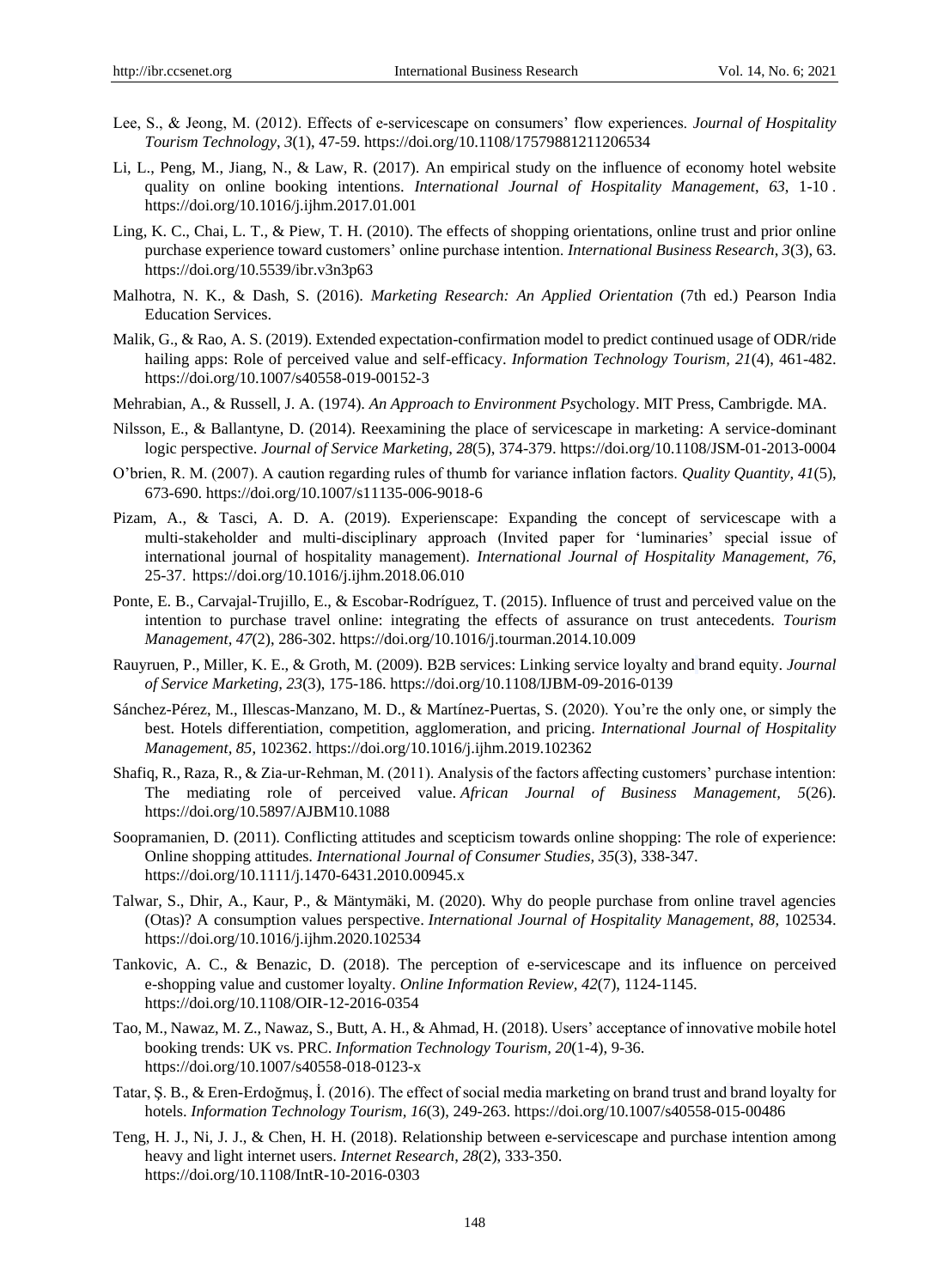- Lee, S., & Jeong, M. (2012). Effects of e‐servicescape on consumers" flow experiences. *Journal of Hospitality Tourism Technology*, *3*(1), 47-59.<https://doi.org/10.1108/17579881211206534>
- Li, L., Peng, M., Jiang, N., & Law, R. (2017). An empirical study on the influence of economy hotel website quality on online booking intentions. *International Journal of Hospitality Management*, *63*, 1-1[0 .](https://doi.org/10.1016/j.ijhm.2017.01.001) <https://doi.org/10.1016/j.ijhm.2017.01.001>
- Ling, K. C., Chai, L. T., & Piew, T. H. (2010). The effects of shopping orientations, online trust and prior online purchase experience toward customers" online purchase intention. *International Business Research*, *3*(3), 63. <https://doi.org/10.5539/ibr.v3n3p63>
- Malhotra, N. K., & Dash, S. (2016). *Marketing Research: An Applied Orientation* (7th ed.) Pearson India Education Services.
- Malik, G., & Rao, A. S. (2019). Extended expectation-confirmation model to predict continued usage of ODR/ride hailing apps: Role of perceived value and self-efficacy. *Information Technology Tourism, 21*(4), 461-482. https://doi.org/10.1007/s40558-019-00152-3
- Mehrabian, A., & Russell, J. A. (1974). *An Approach to Environment Ps*ychology. MIT Press, Cambrigde. MA.
- Nilsson, E., & Ballantyne, D. (2014). Reexamining the place of servicescape in marketing: A service-dominant logic perspective. *Journal of Service Marketing*, *28*(5), 374-379.<https://doi.org/10.1108/JSM-01-2013-0004>
- O"brien, R. M. (2007). A caution regarding rules of thumb for variance inflation factors. *Quality Quantity, 41*(5), 673-690.<https://doi.org/10.1007/s11135-006-9018-6>
- Pizam, A., & Tasci, A. D. A. (2019). Experienscape: Expanding the concept of servicescape with a multi-stakeholder and multi-disciplinary approach (Invited paper for "luminaries" special issue of international journal of hospitality management). *International Journal of Hospitality Management, 76*, 25-37. <https://doi.org/10.1016/j.ijhm.2018.06.010>
- Ponte, E. B., Carvajal-Trujillo, E., & Escobar-Rodr guez, T. (2015). Influence of trust and perceived value on the intention to purchase travel online: integrating the effects of assurance on trust antecedents. *Tourism Management, 47*(2), 286-302. <https://doi.org/10.1016/j.tourman.2014.10.009>
- Rauyruen, P., Miller, K. E., & Groth, M. (2009). B2B services: Linking service loyalty and brand equity. *Journal of Service Marketing, 23*(3), 175-186. <https://doi.org/10.1108/IJBM-09-2016-0139>
- Sánchez-Pérez, M., Illescas-Manzano, M. D., & Martínez-Puertas, S. (2020). You"re the only one, or simply the best. Hotels differentiation, competition, agglomeration, and pricing. *International Journal of Hospitality Management, 85*, 102362. <https://doi.org/10.1016/j.ijhm.2019.102362>
- Shafiq, R., Raza, R., & Zia-ur-Rehman, M. (2011). Analysis of the factors affecting customers" purchase intention: The mediating role of perceived value. *African Journal of Business Management, 5*(26). <https://doi.org/10.5897/AJBM10.1088>
- Soopramanien, D. (2011). Conflicting attitudes and scepticism towards online shopping: The role of experience: Online shopping attitudes. *International Journal of Consumer Studies, 35*(3), 338-347. <https://doi.org/10.1111/j.1470-6431.2010.00945.x>
- Talwar, S., Dhir, A., Kaur, P., & Mäntymäki, M. (2020). Why do people purchase from online travel agencies (Otas)? A consumption values perspective. *International Journal of Hospitality Management*, *88*, 102534. <https://doi.org/10.1016/j.ijhm.2020.102534>
- Tankovic, A. C., & Benazic, D. (2018). The perception of e-servicescape and its influence on perceived e-shopping value and customer loyalty. *Online Information Review, 42*(7), 1124-1145. <https://doi.org/10.1108/OIR-12-2016-0354>
- Tao, M., Nawaz, M. Z., Nawaz, S., Butt, A. H., & Ahmad, H. (2018). Users" acceptance of innovative mobile hotel booking trends: UK vs. PRC. *Information Technology Tourism, 20*(1-4), 9-36. <https://doi.org/10.1007/s40558-018-0123-x>
- Tatar, Ş. B., & Eren-Erdoğmuş, İ. (2016). The effect of social media marketing on brand trust and brand loyalty for hotels. *Information Technology Tourism, 16*(3), 249-263. <https://doi.org/10.1007/s40558-015-00486>
- Teng, H. J., Ni, J. J., & Chen, H. H. (2018). Relationship between e-servicescape and purchase intention among heavy and light internet users. *Internet Research*, *28*(2), 333-35[0.](https://doi.org/10.1108/IntR-10-2016-0303) <https://doi.org/10.1108/IntR-10-2016-0303>